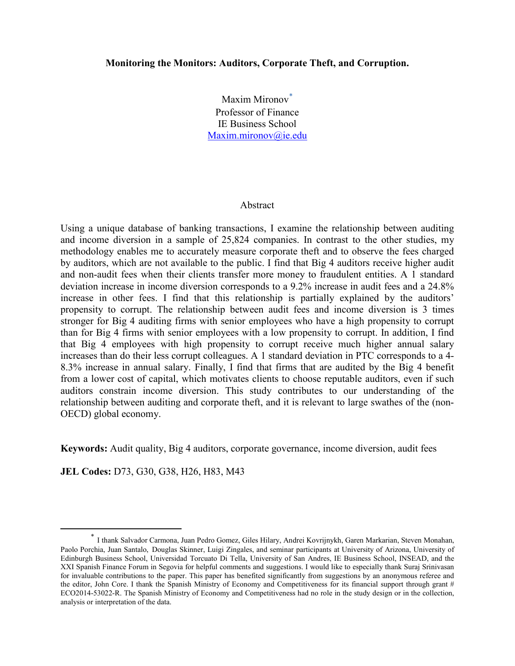### **Monitoring the Monitors: Auditors, Corporate Theft, and Corruption.**

Maxim Mironov**[\\*](#page-0-0)** Professor of Finance IE Business School [Maxim.mironov@ie.edu](mailto:Maxim.mironov@ie.edu)

#### Abstract

Using a unique database of banking transactions, I examine the relationship between auditing and income diversion in a sample of 25,824 companies. In contrast to the other studies, my methodology enables me to accurately measure corporate theft and to observe the fees charged by auditors, which are not available to the public. I find that Big 4 auditors receive higher audit and non-audit fees when their clients transfer more money to fraudulent entities. A 1 standard deviation increase in income diversion corresponds to a 9.2% increase in audit fees and a 24.8% increase in other fees. I find that this relationship is partially explained by the auditors' propensity to corrupt. The relationship between audit fees and income diversion is 3 times stronger for Big 4 auditing firms with senior employees who have a high propensity to corrupt than for Big 4 firms with senior employees with a low propensity to corrupt. In addition, I find that Big 4 employees with high propensity to corrupt receive much higher annual salary increases than do their less corrupt colleagues. A 1 standard deviation in PTC corresponds to a 4- 8.3% increase in annual salary. Finally, I find that firms that are audited by the Big 4 benefit from a lower cost of capital, which motivates clients to choose reputable auditors, even if such auditors constrain income diversion. This study contributes to our understanding of the relationship between auditing and corporate theft, and it is relevant to large swathes of the (non-OECD) global economy.

**Keywords:** Audit quality, Big 4 auditors, corporate governance, income diversion, audit fees

**JEL Codes:** D73, G30, G38, H26, H83, M43

<span id="page-0-0"></span> <sup>\*</sup> I thank Salvador Carmona, Juan Pedro Gomez, Giles Hilary, Andrei Kovrijnykh, Garen Markarian, Steven Monahan, Paolo Porchia, Juan Santalo, Douglas Skinner, Luigi Zingales, and seminar participants at University of Arizona, University of Edinburgh Business School, Universidad Torcuato Di Tella, University of San Andres, IE Business School, INSEAD, and the XXI Spanish Finance Forum in Segovia for helpful comments and suggestions. I would like to especially thank Suraj Srinivasan for invaluable contributions to the paper. This paper has benefited significantly from suggestions by an anonymous referee and the editor, John Core. I thank the Spanish Ministry of Economy and Competitiveness for its financial support through grant # ECO2014-53022-R. The Spanish Ministry of Economy and Competitiveness had no role in the study design or in the collection, analysis or interpretation of the data.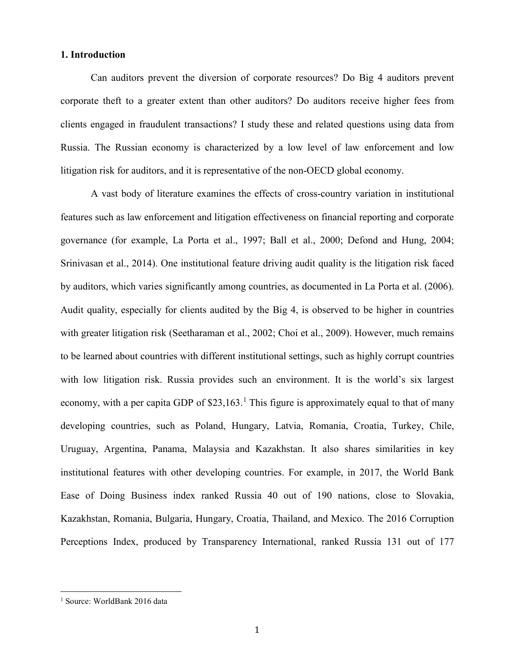## **1. Introduction**

Can auditors prevent the diversion of corporate resources? Do Big 4 auditors prevent corporate theft to a greater extent than other auditors? Do auditors receive higher fees from clients engaged in fraudulent transactions? I study these and related questions using data from Russia. The Russian economy is characterized by a low level of law enforcement and low litigation risk for auditors, and it is representative of the non-OECD global economy.

A vast body of literature examines the effects of cross-country variation in institutional features such as law enforcement and litigation effectiveness on financial reporting and corporate governance (for example, La Porta et al., 1997; Ball et al., 2000; Defond and Hung, 2004; Srinivasan et al., 2014). One institutional feature driving audit quality is the litigation risk faced by auditors, which varies significantly among countries, as documented in La Porta et al. (2006). Audit quality, especially for clients audited by the Big 4, is observed to be higher in countries with greater litigation risk (Seetharaman et al., 2002; Choi et al., 2009). However, much remains to be learned about countries with different institutional settings, such as highly corrupt countries with low litigation risk. Russia provides such an environment. It is the world's six largest economy, with a per capita GDP of  $$23,163$  $$23,163$  $$23,163$ .<sup>1</sup> This figure is approximately equal to that of many developing countries, such as Poland, Hungary, Latvia, Romania, Croatia, Turkey, Chile, Uruguay, Argentina, Panama, Malaysia and Kazakhstan. It also shares similarities in key institutional features with other developing countries. For example, in 2017, the World Bank Ease of Doing Business index ranked Russia 40 out of 190 nations, close to Slovakia, Kazakhstan, Romania, Bulgaria, Hungary, Croatia, Thailand, and Mexico. The 2016 Corruption Perceptions Index, produced by Transparency International, ranked Russia 131 out of 177

<span id="page-1-0"></span><sup>&</sup>lt;sup>1</sup> Source: WorldBank 2016 data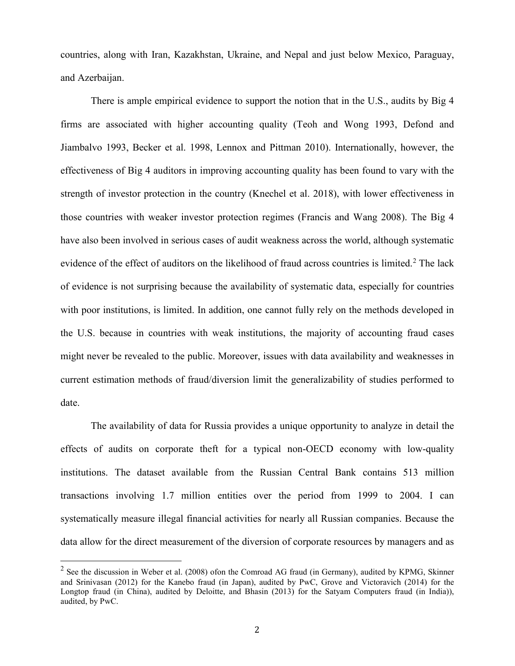countries, along with Iran, Kazakhstan, Ukraine, and Nepal and just below Mexico, Paraguay, and Azerbaijan.

There is ample empirical evidence to support the notion that in the U.S., audits by Big 4 firms are associated with higher accounting quality (Teoh and Wong 1993, Defond and Jiambalvo 1993, Becker et al. 1998, Lennox and Pittman 2010). Internationally, however, the effectiveness of Big 4 auditors in improving accounting quality has been found to vary with the strength of investor protection in the country (Knechel et al. 2018), with lower effectiveness in those countries with weaker investor protection regimes (Francis and Wang 2008). The Big 4 have also been involved in serious cases of audit weakness across the world, although systematic evidence of the effect of auditors on the likelihood of fraud across countries is limited.<sup>[2](#page-2-0)</sup> The lack of evidence is not surprising because the availability of systematic data, especially for countries with poor institutions, is limited. In addition, one cannot fully rely on the methods developed in the U.S. because in countries with weak institutions, the majority of accounting fraud cases might never be revealed to the public. Moreover, issues with data availability and weaknesses in current estimation methods of fraud/diversion limit the generalizability of studies performed to date.

The availability of data for Russia provides a unique opportunity to analyze in detail the effects of audits on corporate theft for a typical non-OECD economy with low-quality institutions. The dataset available from the Russian Central Bank contains 513 million transactions involving 1.7 million entities over the period from 1999 to 2004. I can systematically measure illegal financial activities for nearly all Russian companies. Because the data allow for the direct measurement of the diversion of corporate resources by managers and as

<span id="page-2-0"></span> $2$  See the discussion in Weber et al. (2008) ofon the Comroad AG fraud (in Germany), audited by KPMG, Skinner and Srinivasan (2012) for the Kanebo fraud (in Japan), audited by PwC, Grove and Victoravich (2014) for the Longtop fraud (in China), audited by Deloitte, and Bhasin (2013) for the Satyam Computers fraud (in India)), audited, by PwC.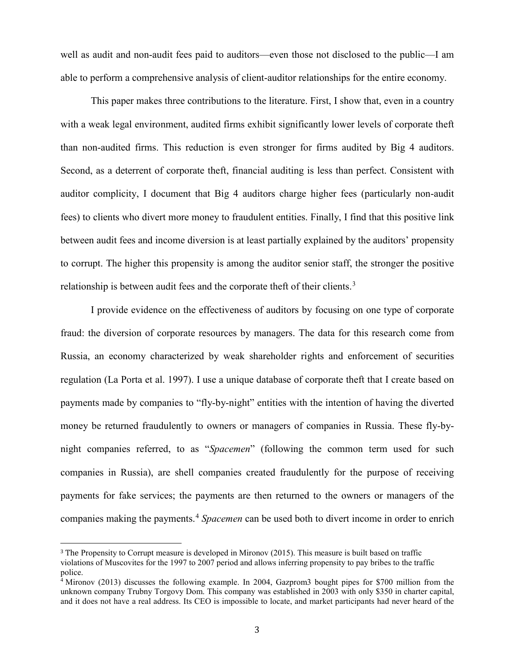well as audit and non-audit fees paid to auditors—even those not disclosed to the public—I am able to perform a comprehensive analysis of client-auditor relationships for the entire economy.

This paper makes three contributions to the literature. First, I show that, even in a country with a weak legal environment, audited firms exhibit significantly lower levels of corporate theft than non-audited firms. This reduction is even stronger for firms audited by Big 4 auditors. Second, as a deterrent of corporate theft, financial auditing is less than perfect. Consistent with auditor complicity, I document that Big 4 auditors charge higher fees (particularly non-audit fees) to clients who divert more money to fraudulent entities. Finally, I find that this positive link between audit fees and income diversion is at least partially explained by the auditors' propensity to corrupt. The higher this propensity is among the auditor senior staff, the stronger the positive relationship is between audit fees and the corporate theft of their clients.<sup>[3](#page-3-0)</sup>

I provide evidence on the effectiveness of auditors by focusing on one type of corporate fraud: the diversion of corporate resources by managers. The data for this research come from Russia, an economy characterized by weak shareholder rights and enforcement of securities regulation (La Porta et al. 1997). I use a unique database of corporate theft that I create based on payments made by companies to "fly-by-night" entities with the intention of having the diverted money be returned fraudulently to owners or managers of companies in Russia. These fly-bynight companies referred, to as "*Spacemen*" (following the common term used for such companies in Russia), are shell companies created fraudulently for the purpose of receiving payments for fake services; the payments are then returned to the owners or managers of the companies making the payments.[4](#page-3-1) *Spacemen* can be used both to divert income in order to enrich

<span id="page-3-0"></span><sup>3</sup> The Propensity to Corrupt measure is developed in Mironov (2015). This measure is built based on traffic violations of Muscovites for the 1997 to 2007 period and allows inferring propensity to pay bribes to the traffic police.

<span id="page-3-1"></span><sup>4</sup> Mironov (2013) discusses the following example. In 2004, Gazprom3 bought pipes for \$700 million from the unknown company Trubny Torgovy Dom. This company was established in 2003 with only \$350 in charter capital, and it does not have a real address. Its CEO is impossible to locate, and market participants had never heard of the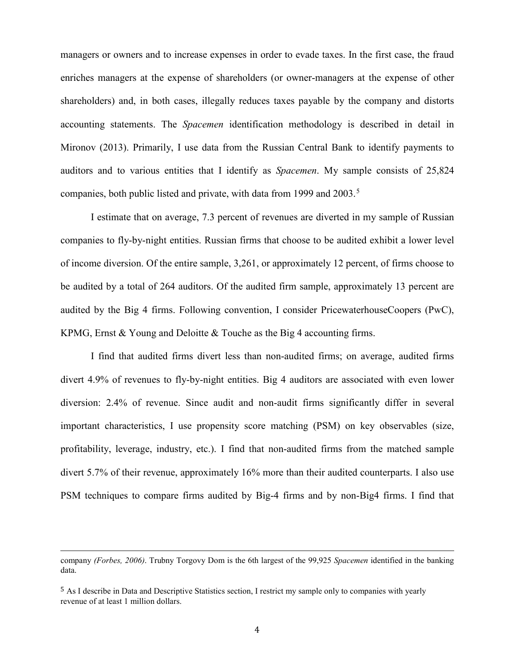managers or owners and to increase expenses in order to evade taxes. In the first case, the fraud enriches managers at the expense of shareholders (or owner-managers at the expense of other shareholders) and, in both cases, illegally reduces taxes payable by the company and distorts accounting statements. The *Spacemen* identification methodology is described in detail in Mironov (2013). Primarily, I use data from the Russian Central Bank to identify payments to auditors and to various entities that I identify as *Spacemen*. My sample consists of 25,824 companies, both public listed and private, with data from 1999 and 2003. [5](#page-4-0)

I estimate that on average, 7.3 percent of revenues are diverted in my sample of Russian companies to fly-by-night entities. Russian firms that choose to be audited exhibit a lower level of income diversion. Of the entire sample, 3,261, or approximately 12 percent, of firms choose to be audited by a total of 264 auditors. Of the audited firm sample, approximately 13 percent are audited by the Big 4 firms. Following convention, I consider PricewaterhouseCoopers (PwC), KPMG, Ernst & Young and Deloitte & Touche as the Big 4 accounting firms.

I find that audited firms divert less than non-audited firms; on average, audited firms divert 4.9% of revenues to fly-by-night entities. Big 4 auditors are associated with even lower diversion: 2.4% of revenue. Since audit and non-audit firms significantly differ in several important characteristics, I use propensity score matching (PSM) on key observables (size, profitability, leverage, industry, etc.). I find that non-audited firms from the matched sample divert 5.7% of their revenue, approximately 16% more than their audited counterparts. I also use PSM techniques to compare firms audited by Big-4 firms and by non-Big4 firms. I find that

company *(Forbes, 2006)*. Trubny Torgovy Dom is the 6th largest of the 99,925 *Spacemen* identified in the banking data.

<span id="page-4-0"></span><sup>5</sup> As I describe in Data and Descriptive Statistics section, I restrict my sample only to companies with yearly revenue of at least 1 million dollars.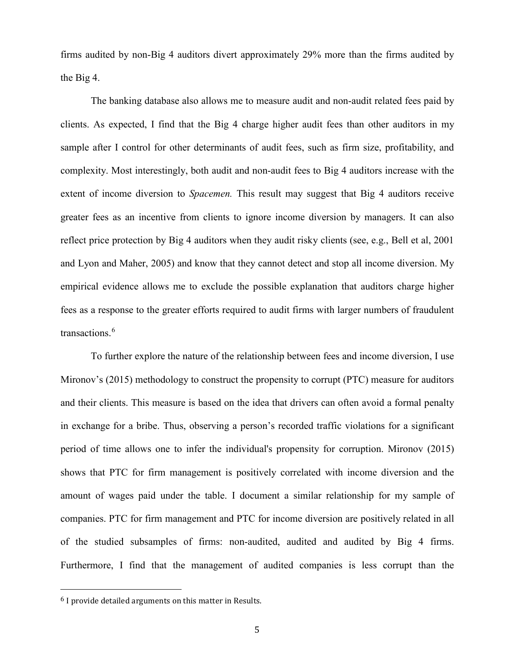firms audited by non-Big 4 auditors divert approximately 29% more than the firms audited by the Big 4.

The banking database also allows me to measure audit and non-audit related fees paid by clients. As expected, I find that the Big 4 charge higher audit fees than other auditors in my sample after I control for other determinants of audit fees, such as firm size, profitability, and complexity. Most interestingly, both audit and non-audit fees to Big 4 auditors increase with the extent of income diversion to *Spacemen.* This result may suggest that Big 4 auditors receive greater fees as an incentive from clients to ignore income diversion by managers. It can also reflect price protection by Big 4 auditors when they audit risky clients (see, e.g., Bell et al, 2001 and Lyon and Maher, 2005) and know that they cannot detect and stop all income diversion. My empirical evidence allows me to exclude the possible explanation that auditors charge higher fees as a response to the greater efforts required to audit firms with larger numbers of fraudulent transactions.<sup>[6](#page-5-0)</sup>

To further explore the nature of the relationship between fees and income diversion, I use Mironov's (2015) methodology to construct the propensity to corrupt (PTC) measure for auditors and their clients. This measure is based on the idea that drivers can often avoid a formal penalty in exchange for a bribe. Thus, observing a person's recorded traffic violations for a significant period of time allows one to infer the individual's propensity for corruption. Mironov (2015) shows that PTC for firm management is positively correlated with income diversion and the amount of wages paid under the table. I document a similar relationship for my sample of companies. PTC for firm management and PTC for income diversion are positively related in all of the studied subsamples of firms: non-audited, audited and audited by Big 4 firms. Furthermore, I find that the management of audited companies is less corrupt than the

<span id="page-5-0"></span><sup>6</sup> I provide detailed arguments on this matter in Results.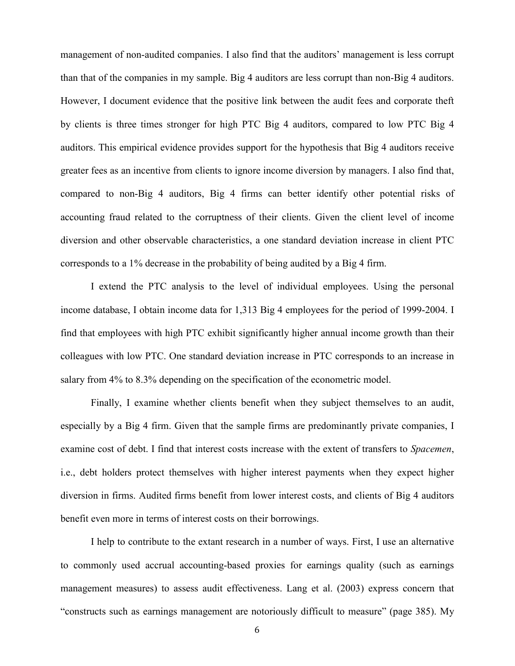management of non-audited companies. I also find that the auditors' management is less corrupt than that of the companies in my sample. Big 4 auditors are less corrupt than non-Big 4 auditors. However, I document evidence that the positive link between the audit fees and corporate theft by clients is three times stronger for high PTC Big 4 auditors, compared to low PTC Big 4 auditors. This empirical evidence provides support for the hypothesis that Big 4 auditors receive greater fees as an incentive from clients to ignore income diversion by managers. I also find that, compared to non-Big 4 auditors, Big 4 firms can better identify other potential risks of accounting fraud related to the corruptness of their clients. Given the client level of income diversion and other observable characteristics, a one standard deviation increase in client PTC corresponds to a 1% decrease in the probability of being audited by a Big 4 firm.

I extend the PTC analysis to the level of individual employees. Using the personal income database, I obtain income data for 1,313 Big 4 employees for the period of 1999-2004. I find that employees with high PTC exhibit significantly higher annual income growth than their colleagues with low PTC. One standard deviation increase in PTC corresponds to an increase in salary from 4% to 8.3% depending on the specification of the econometric model.

Finally, I examine whether clients benefit when they subject themselves to an audit, especially by a Big 4 firm. Given that the sample firms are predominantly private companies, I examine cost of debt. I find that interest costs increase with the extent of transfers to *Spacemen*, i.e., debt holders protect themselves with higher interest payments when they expect higher diversion in firms. Audited firms benefit from lower interest costs, and clients of Big 4 auditors benefit even more in terms of interest costs on their borrowings.

I help to contribute to the extant research in a number of ways. First, I use an alternative to commonly used accrual accounting-based proxies for earnings quality (such as earnings management measures) to assess audit effectiveness. Lang et al. (2003) express concern that "constructs such as earnings management are notoriously difficult to measure" (page 385). My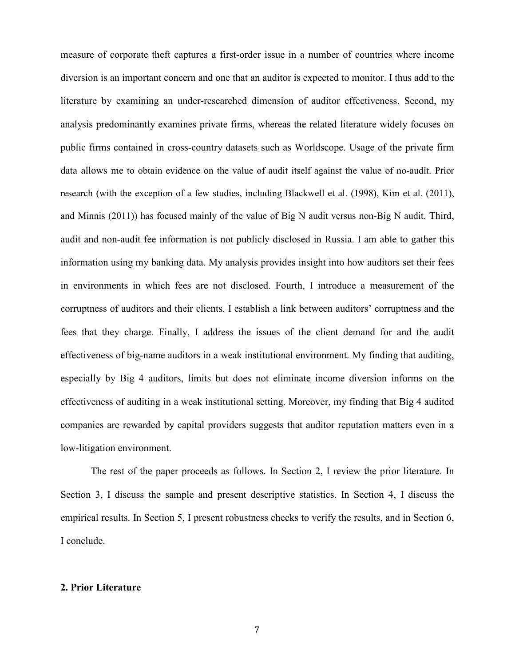measure of corporate theft captures a first-order issue in a number of countries where income diversion is an important concern and one that an auditor is expected to monitor. I thus add to the literature by examining an under-researched dimension of auditor effectiveness. Second, my analysis predominantly examines private firms, whereas the related literature widely focuses on public firms contained in cross-country datasets such as Worldscope. Usage of the private firm data allows me to obtain evidence on the value of audit itself against the value of no-audit. Prior research (with the exception of a few studies, including Blackwell et al. (1998), Kim et al. (2011), and Minnis (2011)) has focused mainly of the value of Big N audit versus non-Big N audit. Third, audit and non-audit fee information is not publicly disclosed in Russia. I am able to gather this information using my banking data. My analysis provides insight into how auditors set their fees in environments in which fees are not disclosed. Fourth, I introduce a measurement of the corruptness of auditors and their clients. I establish a link between auditors' corruptness and the fees that they charge. Finally, I address the issues of the client demand for and the audit effectiveness of big-name auditors in a weak institutional environment. My finding that auditing, especially by Big 4 auditors, limits but does not eliminate income diversion informs on the effectiveness of auditing in a weak institutional setting. Moreover, my finding that Big 4 audited companies are rewarded by capital providers suggests that auditor reputation matters even in a low-litigation environment.

The rest of the paper proceeds as follows. In Section 2, I review the prior literature. In Section 3, I discuss the sample and present descriptive statistics. In Section 4, I discuss the empirical results. In Section 5, I present robustness checks to verify the results, and in Section 6, I conclude.

# **2. Prior Literature**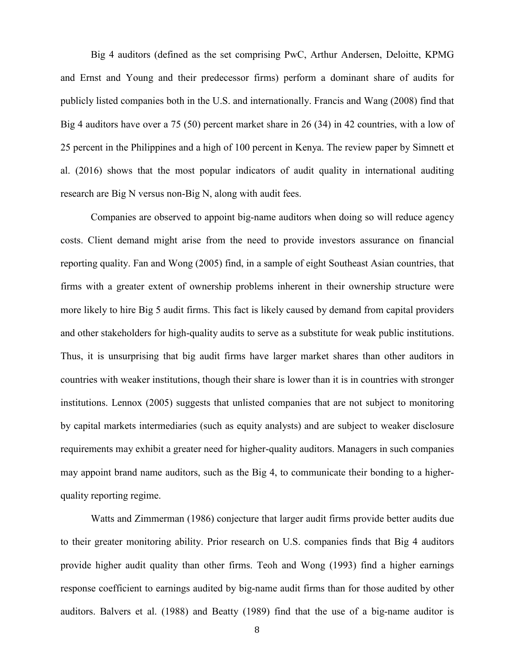Big 4 auditors (defined as the set comprising PwC, Arthur Andersen, Deloitte, KPMG and Ernst and Young and their predecessor firms) perform a dominant share of audits for publicly listed companies both in the U.S. and internationally. Francis and Wang (2008) find that Big 4 auditors have over a 75 (50) percent market share in 26 (34) in 42 countries, with a low of 25 percent in the Philippines and a high of 100 percent in Kenya. The review paper by Simnett et al. (2016) shows that the most popular indicators of audit quality in international auditing research are Big N versus non-Big N, along with audit fees.

Companies are observed to appoint big-name auditors when doing so will reduce agency costs. Client demand might arise from the need to provide investors assurance on financial reporting quality. Fan and Wong (2005) find, in a sample of eight Southeast Asian countries, that firms with a greater extent of ownership problems inherent in their ownership structure were more likely to hire Big 5 audit firms. This fact is likely caused by demand from capital providers and other stakeholders for high-quality audits to serve as a substitute for weak public institutions. Thus, it is unsurprising that big audit firms have larger market shares than other auditors in countries with weaker institutions, though their share is lower than it is in countries with stronger institutions. Lennox (2005) suggests that unlisted companies that are not subject to monitoring by capital markets intermediaries (such as equity analysts) and are subject to weaker disclosure requirements may exhibit a greater need for higher-quality auditors. Managers in such companies may appoint brand name auditors, such as the Big 4, to communicate their bonding to a higherquality reporting regime.

Watts and Zimmerman (1986) conjecture that larger audit firms provide better audits due to their greater monitoring ability. Prior research on U.S. companies finds that Big 4 auditors provide higher audit quality than other firms. Teoh and Wong (1993) find a higher earnings response coefficient to earnings audited by big-name audit firms than for those audited by other auditors. Balvers et al. (1988) and Beatty (1989) find that the use of a big-name auditor is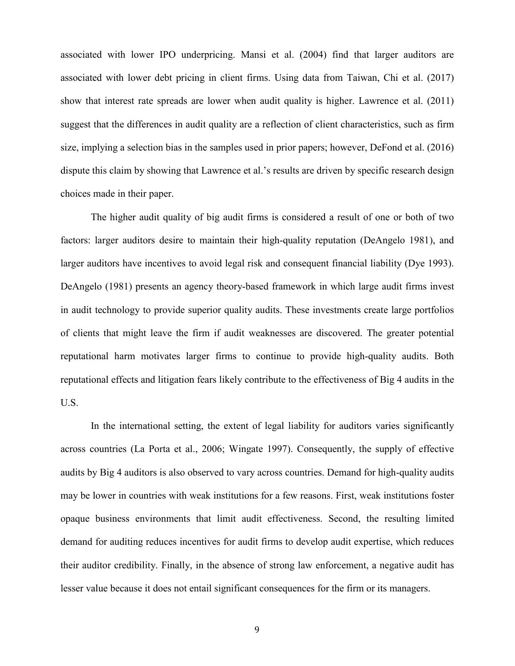associated with lower IPO underpricing. Mansi et al. (2004) find that larger auditors are associated with lower debt pricing in client firms. Using data from Taiwan, Chi et al. (2017) show that interest rate spreads are lower when audit quality is higher. Lawrence et al. (2011) suggest that the differences in audit quality are a reflection of client characteristics, such as firm size, implying a selection bias in the samples used in prior papers; however, DeFond et al. (2016) dispute this claim by showing that Lawrence et al.'s results are driven by specific research design choices made in their paper.

The higher audit quality of big audit firms is considered a result of one or both of two factors: larger auditors desire to maintain their high-quality reputation (DeAngelo 1981), and larger auditors have incentives to avoid legal risk and consequent financial liability (Dye 1993). DeAngelo (1981) presents an agency theory-based framework in which large audit firms invest in audit technology to provide superior quality audits. These investments create large portfolios of clients that might leave the firm if audit weaknesses are discovered. The greater potential reputational harm motivates larger firms to continue to provide high-quality audits. Both reputational effects and litigation fears likely contribute to the effectiveness of Big 4 audits in the U.S.

In the international setting, the extent of legal liability for auditors varies significantly across countries (La Porta et al., 2006; Wingate 1997). Consequently, the supply of effective audits by Big 4 auditors is also observed to vary across countries. Demand for high-quality audits may be lower in countries with weak institutions for a few reasons. First, weak institutions foster opaque business environments that limit audit effectiveness. Second, the resulting limited demand for auditing reduces incentives for audit firms to develop audit expertise, which reduces their auditor credibility. Finally, in the absence of strong law enforcement, a negative audit has lesser value because it does not entail significant consequences for the firm or its managers.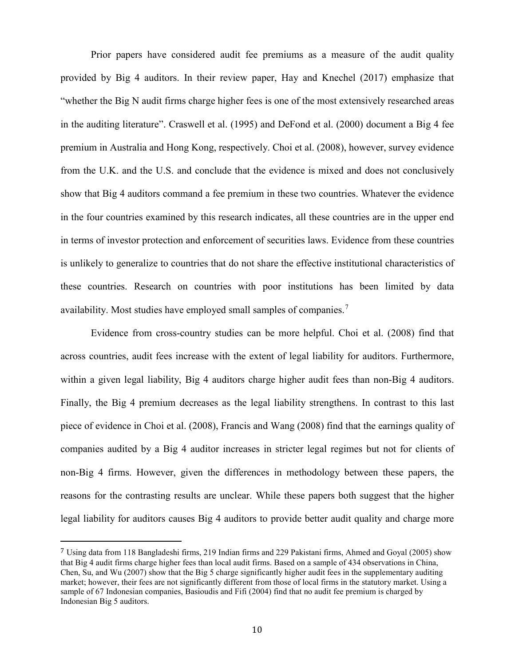Prior papers have considered audit fee premiums as a measure of the audit quality provided by Big 4 auditors. In their review paper, Hay and Knechel (2017) emphasize that "whether the Big N audit firms charge higher fees is one of the most extensively researched areas in the auditing literature". Craswell et al. (1995) and DeFond et al. (2000) document a Big 4 fee premium in Australia and Hong Kong, respectively. Choi et al. (2008), however, survey evidence from the U.K. and the U.S. and conclude that the evidence is mixed and does not conclusively show that Big 4 auditors command a fee premium in these two countries. Whatever the evidence in the four countries examined by this research indicates, all these countries are in the upper end in terms of investor protection and enforcement of securities laws. Evidence from these countries is unlikely to generalize to countries that do not share the effective institutional characteristics of these countries. Research on countries with poor institutions has been limited by data availability. Most studies have employed small samples of companies.<sup>[7](#page-10-0)</sup>

Evidence from cross-country studies can be more helpful. Choi et al. (2008) find that across countries, audit fees increase with the extent of legal liability for auditors. Furthermore, within a given legal liability, Big 4 auditors charge higher audit fees than non-Big 4 auditors. Finally, the Big 4 premium decreases as the legal liability strengthens. In contrast to this last piece of evidence in Choi et al. (2008), Francis and Wang (2008) find that the earnings quality of companies audited by a Big 4 auditor increases in stricter legal regimes but not for clients of non-Big 4 firms. However, given the differences in methodology between these papers, the reasons for the contrasting results are unclear. While these papers both suggest that the higher legal liability for auditors causes Big 4 auditors to provide better audit quality and charge more

<span id="page-10-0"></span><sup>7</sup> Using data from 118 Bangladeshi firms, 219 Indian firms and 229 Pakistani firms, Ahmed and Goyal (2005) show that Big 4 audit firms charge higher fees than local audit firms. Based on a sample of 434 observations in China, Chen, Su, and Wu (2007) show that the Big 5 charge significantly higher audit fees in the supplementary auditing market; however, their fees are not significantly different from those of local firms in the statutory market. Using a sample of 67 Indonesian companies, Basioudis and Fifi (2004) find that no audit fee premium is charged by Indonesian Big 5 auditors.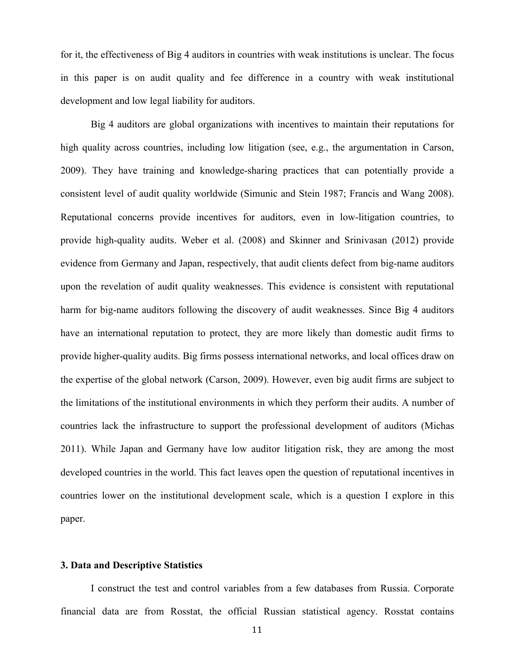for it, the effectiveness of Big 4 auditors in countries with weak institutions is unclear. The focus in this paper is on audit quality and fee difference in a country with weak institutional development and low legal liability for auditors.

Big 4 auditors are global organizations with incentives to maintain their reputations for high quality across countries, including low litigation (see, e.g., the argumentation in Carson, 2009). They have training and knowledge-sharing practices that can potentially provide a consistent level of audit quality worldwide (Simunic and Stein 1987; Francis and Wang 2008). Reputational concerns provide incentives for auditors, even in low-litigation countries, to provide high-quality audits. Weber et al. (2008) and Skinner and Srinivasan (2012) provide evidence from Germany and Japan, respectively, that audit clients defect from big-name auditors upon the revelation of audit quality weaknesses. This evidence is consistent with reputational harm for big-name auditors following the discovery of audit weaknesses. Since Big 4 auditors have an international reputation to protect, they are more likely than domestic audit firms to provide higher-quality audits. Big firms possess international networks, and local offices draw on the expertise of the global network (Carson, 2009). However, even big audit firms are subject to the limitations of the institutional environments in which they perform their audits. A number of countries lack the infrastructure to support the professional development of auditors (Michas 2011). While Japan and Germany have low auditor litigation risk, they are among the most developed countries in the world. This fact leaves open the question of reputational incentives in countries lower on the institutional development scale, which is a question I explore in this paper.

# **3. Data and Descriptive Statistics**

I construct the test and control variables from a few databases from Russia. Corporate financial data are from Rosstat, the official Russian statistical agency. Rosstat contains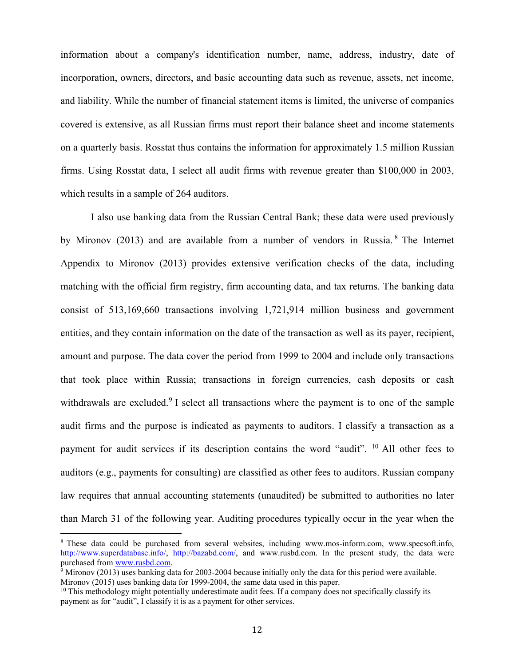information about a company's identification number, name, address, industry, date of incorporation, owners, directors, and basic accounting data such as revenue, assets, net income, and liability. While the number of financial statement items is limited, the universe of companies covered is extensive, as all Russian firms must report their balance sheet and income statements on a quarterly basis. Rosstat thus contains the information for approximately 1.5 million Russian firms. Using Rosstat data, I select all audit firms with revenue greater than \$100,000 in 2003, which results in a sample of 264 auditors.

I also use banking data from the Russian Central Bank; these data were used previously by Mironov (2013) and are available from a number of vendors in Russia.<sup>[8](#page-12-0)</sup> The Internet Appendix to Mironov (2013) provides extensive verification checks of the data, including matching with the official firm registry, firm accounting data, and tax returns. The banking data consist of 513,169,660 transactions involving 1,721,914 million business and government entities, and they contain information on the date of the transaction as well as its payer, recipient, amount and purpose. The data cover the period from 1999 to 2004 and include only transactions that took place within Russia; transactions in foreign currencies, cash deposits or cash withdrawals are excluded.<sup>[9](#page-12-1)</sup> I select all transactions where the payment is to one of the sample audit firms and the purpose is indicated as payments to auditors. I classify a transaction as a payment for audit services if its description contains the word "audit". <sup>[10](#page-12-2)</sup> All other fees to auditors (e.g., payments for consulting) are classified as other fees to auditors. Russian company law requires that annual accounting statements (unaudited) be submitted to authorities no later than March 31 of the following year. Auditing procedures typically occur in the year when the

<span id="page-12-0"></span> <sup>8</sup> These data could be purchased from several websites, including www.mos-inform.com, www.specsoft.info, [http://www.superdatabase.info/,](http://www.superdatabase.info/) [http://bazabd.com/,](http://bazabd.com/) and www.rusbd.com. In the present study, the data were purchased from <u>www.rusbd.com</u>.

<span id="page-12-1"></span> $9$  Mironov (2013) uses banking data for 2003-2004 because initially only the data for this period were available. Mironov (2015) uses banking data for 1999-2004, the same data used in this paper.

<span id="page-12-2"></span><sup>&</sup>lt;sup>10</sup> This methodology might potentially underestimate audit fees. If a company does not specifically classify its payment as for "audit", I classify it is as a payment for other services.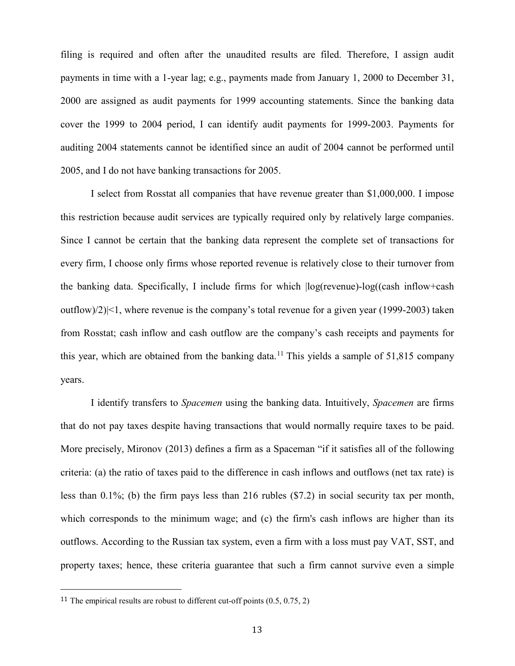filing is required and often after the unaudited results are filed. Therefore, I assign audit payments in time with a 1-year lag; e.g., payments made from January 1, 2000 to December 31, 2000 are assigned as audit payments for 1999 accounting statements. Since the banking data cover the 1999 to 2004 period, I can identify audit payments for 1999-2003. Payments for auditing 2004 statements cannot be identified since an audit of 2004 cannot be performed until 2005, and I do not have banking transactions for 2005.

I select from Rosstat all companies that have revenue greater than \$1,000,000. I impose this restriction because audit services are typically required only by relatively large companies. Since I cannot be certain that the banking data represent the complete set of transactions for every firm, I choose only firms whose reported revenue is relatively close to their turnover from the banking data. Specifically, I include firms for which |log(revenue)-log((cash inflow+cash outflow)/2)|<1, where revenue is the company's total revenue for a given year (1999-2003) taken from Rosstat; cash inflow and cash outflow are the company's cash receipts and payments for this year, which are obtained from the banking data.<sup>[11](#page-13-0)</sup> This yields a sample of  $51,815$  company years.

I identify transfers to *Spacemen* using the banking data. Intuitively, *Spacemen* are firms that do not pay taxes despite having transactions that would normally require taxes to be paid. More precisely, Mironov (2013) defines a firm as a Spaceman "if it satisfies all of the following criteria: (a) the ratio of taxes paid to the difference in cash inflows and outflows (net tax rate) is less than 0.1%; (b) the firm pays less than 216 rubles (\$7.2) in social security tax per month, which corresponds to the minimum wage; and (c) the firm's cash inflows are higher than its outflows. According to the Russian tax system, even a firm with a loss must pay VAT, SST, and property taxes; hence, these criteria guarantee that such a firm cannot survive even a simple

<span id="page-13-0"></span><sup>&</sup>lt;sup>11</sup> The empirical results are robust to different cut-off points  $(0.5, 0.75, 2)$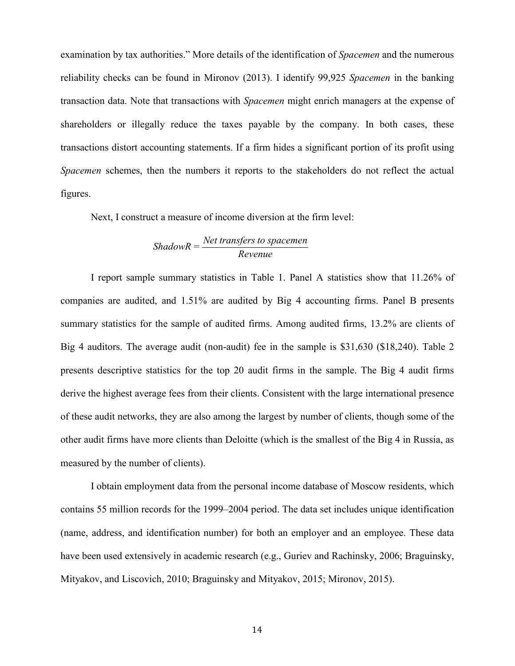examination by tax authorities." More details of the identification of *Spacemen* and the numerous reliability checks can be found in Mironov (2013). I identify 99,925 *Spacemen* in the banking transaction data. Note that transactions with *Spacemen* might enrich managers at the expense of shareholders or illegally reduce the taxes payable by the company. In both cases, these transactions distort accounting statements. If a firm hides a significant portion of its profit using *Spacemen* schemes, then the numbers it reports to the stakeholders do not reflect the actual figures.

Next, I construct a measure of income diversion at the firm level:

# *Net transfers to spacemen ShadowR = Revenue*

I report sample summary statistics in Table 1. Panel A statistics show that 11.26% of companies are audited, and 1.51% are audited by Big 4 accounting firms. Panel B presents summary statistics for the sample of audited firms. Among audited firms, 13.2% are clients of Big 4 auditors. The average audit (non-audit) fee in the sample is \$31,630 (\$18,240). Table 2 presents descriptive statistics for the top 20 audit firms in the sample. The Big 4 audit firms derive the highest average fees from their clients. Consistent with the large international presence of these audit networks, they are also among the largest by number of clients, though some of the other audit firms have more clients than Deloitte (which is the smallest of the Big 4 in Russia, as measured by the number of clients).

I obtain employment data from the personal income database of Moscow residents, which contains 55 million records for the 1999–2004 period. The data set includes unique identification (name, address, and identification number) for both an employer and an employee. These data have been used extensively in academic research (e.g., Guriev and Rachinsky, 2006; Braguinsky, Mityakov, and Liscovich, 2010; Braguinsky and Mityakov, 2015; Mironov, 2015).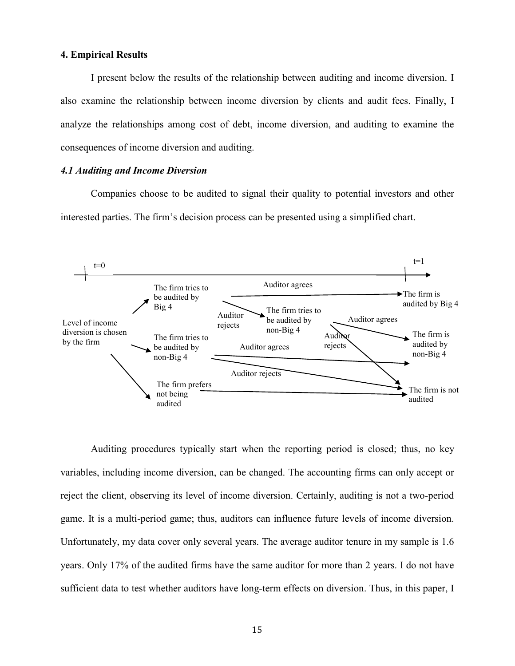### **4. Empirical Results**

I present below the results of the relationship between auditing and income diversion. I also examine the relationship between income diversion by clients and audit fees. Finally, I analyze the relationships among cost of debt, income diversion, and auditing to examine the consequences of income diversion and auditing.

# *4.1 Auditing and Income Diversion*

Companies choose to be audited to signal their quality to potential investors and other interested parties. The firm's decision process can be presented using a simplified chart.



Auditing procedures typically start when the reporting period is closed; thus, no key variables, including income diversion, can be changed. The accounting firms can only accept or reject the client, observing its level of income diversion. Certainly, auditing is not a two-period game. It is a multi-period game; thus, auditors can influence future levels of income diversion. Unfortunately, my data cover only several years. The average auditor tenure in my sample is 1.6 years. Only 17% of the audited firms have the same auditor for more than 2 years. I do not have sufficient data to test whether auditors have long-term effects on diversion. Thus, in this paper, I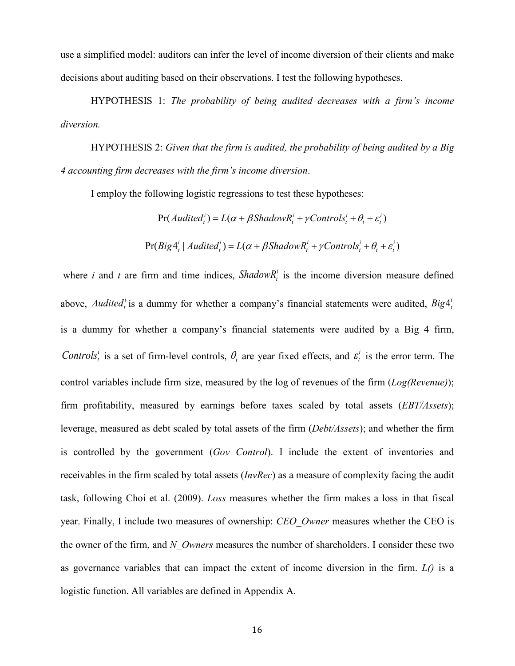use a simplified model: auditors can infer the level of income diversion of their clients and make decisions about auditing based on their observations. I test the following hypotheses.

HYPOTHESIS 1: *The probability of being audited decreases with a firm's income diversion.*

HYPOTHESIS 2: *Given that the firm is audited, the probability of being audited by a Big 4 accounting firm decreases with the firm's income diversion*.

I employ the following logistic regressions to test these hypotheses:

 $Pr(Audited_t^i) = L(\alpha + \beta ShadowR_t^i + \gamma Controls_t^i + \theta_t + \varepsilon_t^i)$ 

$$
Pr(Big4_{t}^{i} | \textit{Audited}_{t}^{i}) = L(\alpha + \beta \textit{ShadowR}_{t}^{i} + \gamma \textit{Controls}_{t}^{i} + \theta_{t} + \varepsilon_{t}^{i})
$$

where *i* and *t* are firm and time indices, *ShadowR*<sup>*i*</sup> is the income diversion measure defined above, *Audited*<sup>*i*</sup> is a dummy for whether a company's financial statements were audited,  $Big<^i_t$ is a dummy for whether a company's financial statements were audited by a Big 4 firm, *Controls*<sup>*i*</sup> is a set of firm-level controls,  $\theta$ <sub>*i*</sub> are year fixed effects, and  $\varepsilon$ <sup>*i*</sup> is the error term. The control variables include firm size, measured by the log of revenues of the firm (*Log(Revenue)*); firm profitability, measured by earnings before taxes scaled by total assets (*EBT/Assets*); leverage, measured as debt scaled by total assets of the firm (*Debt/Assets*); and whether the firm is controlled by the government (*Gov Control*). I include the extent of inventories and receivables in the firm scaled by total assets (*InvRec*) as a measure of complexity facing the audit task, following Choi et al. (2009). *Loss* measures whether the firm makes a loss in that fiscal year. Finally, I include two measures of ownership: *CEO\_Owner* measures whether the CEO is the owner of the firm, and *N\_Owners* measures the number of shareholders. I consider these two as governance variables that can impact the extent of income diversion in the firm. *L()* is a logistic function. All variables are defined in Appendix A.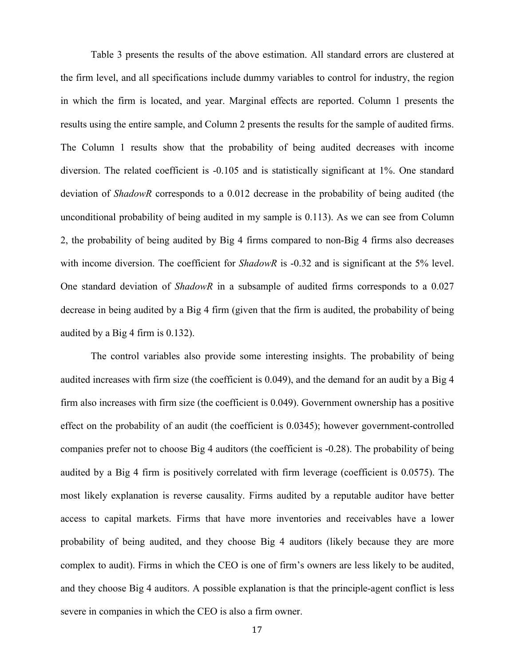Table 3 presents the results of the above estimation. All standard errors are clustered at the firm level, and all specifications include dummy variables to control for industry, the region in which the firm is located, and year. Marginal effects are reported. Column 1 presents the results using the entire sample, and Column 2 presents the results for the sample of audited firms. The Column 1 results show that the probability of being audited decreases with income diversion. The related coefficient is -0.105 and is statistically significant at 1%. One standard deviation of *ShadowR* corresponds to a 0.012 decrease in the probability of being audited (the unconditional probability of being audited in my sample is 0.113). As we can see from Column 2, the probability of being audited by Big 4 firms compared to non-Big 4 firms also decreases with income diversion. The coefficient for *ShadowR* is -0.32 and is significant at the 5% level. One standard deviation of *ShadowR* in a subsample of audited firms corresponds to a 0.027 decrease in being audited by a Big 4 firm (given that the firm is audited, the probability of being audited by a Big 4 firm is 0.132).

The control variables also provide some interesting insights. The probability of being audited increases with firm size (the coefficient is 0.049), and the demand for an audit by a Big 4 firm also increases with firm size (the coefficient is 0.049). Government ownership has a positive effect on the probability of an audit (the coefficient is 0.0345); however government-controlled companies prefer not to choose Big 4 auditors (the coefficient is -0.28). The probability of being audited by a Big 4 firm is positively correlated with firm leverage (coefficient is 0.0575). The most likely explanation is reverse causality. Firms audited by a reputable auditor have better access to capital markets. Firms that have more inventories and receivables have a lower probability of being audited, and they choose Big 4 auditors (likely because they are more complex to audit). Firms in which the CEO is one of firm's owners are less likely to be audited, and they choose Big 4 auditors. A possible explanation is that the principle-agent conflict is less severe in companies in which the CEO is also a firm owner.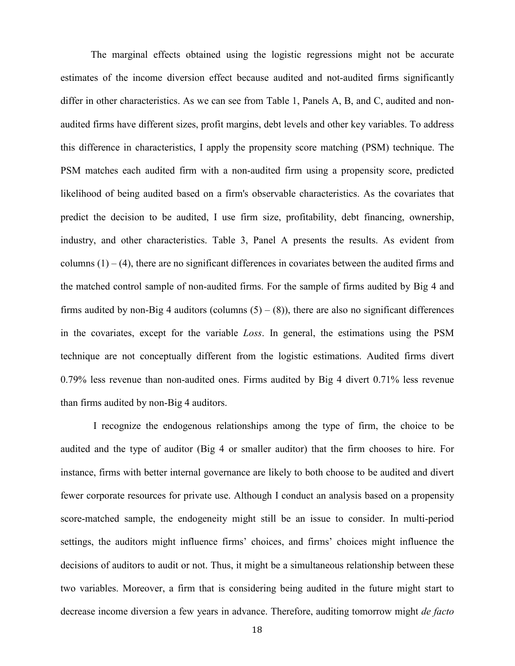The marginal effects obtained using the logistic regressions might not be accurate estimates of the income diversion effect because audited and not-audited firms significantly differ in other characteristics. As we can see from Table 1, Panels A, B, and C, audited and nonaudited firms have different sizes, profit margins, debt levels and other key variables. To address this difference in characteristics, I apply the propensity score matching (PSM) technique. The PSM matches each audited firm with a non-audited firm using a propensity score, predicted likelihood of being audited based on a firm's observable characteristics. As the covariates that predict the decision to be audited, I use firm size, profitability, debt financing, ownership, industry, and other characteristics. Table 3, Panel A presents the results. As evident from columns  $(1) - (4)$ , there are no significant differences in covariates between the audited firms and the matched control sample of non-audited firms. For the sample of firms audited by Big 4 and firms audited by non-Big 4 auditors (columns  $(5) - (8)$ ), there are also no significant differences in the covariates, except for the variable *Loss*. In general, the estimations using the PSM technique are not conceptually different from the logistic estimations. Audited firms divert 0.79% less revenue than non-audited ones. Firms audited by Big 4 divert 0.71% less revenue than firms audited by non-Big 4 auditors.

I recognize the endogenous relationships among the type of firm, the choice to be audited and the type of auditor (Big 4 or smaller auditor) that the firm chooses to hire. For instance, firms with better internal governance are likely to both choose to be audited and divert fewer corporate resources for private use. Although I conduct an analysis based on a propensity score-matched sample, the endogeneity might still be an issue to consider. In multi-period settings, the auditors might influence firms' choices, and firms' choices might influence the decisions of auditors to audit or not. Thus, it might be a simultaneous relationship between these two variables. Moreover, a firm that is considering being audited in the future might start to decrease income diversion a few years in advance. Therefore, auditing tomorrow might *de facto*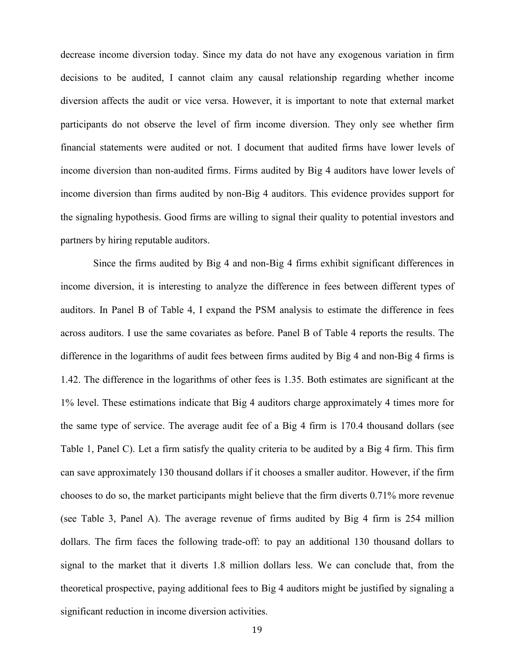decrease income diversion today. Since my data do not have any exogenous variation in firm decisions to be audited, I cannot claim any causal relationship regarding whether income diversion affects the audit or vice versa. However, it is important to note that external market participants do not observe the level of firm income diversion. They only see whether firm financial statements were audited or not. I document that audited firms have lower levels of income diversion than non-audited firms. Firms audited by Big 4 auditors have lower levels of income diversion than firms audited by non-Big 4 auditors. This evidence provides support for the signaling hypothesis. Good firms are willing to signal their quality to potential investors and partners by hiring reputable auditors.

Since the firms audited by Big 4 and non-Big 4 firms exhibit significant differences in income diversion, it is interesting to analyze the difference in fees between different types of auditors. In Panel B of Table 4, I expand the PSM analysis to estimate the difference in fees across auditors. I use the same covariates as before. Panel B of Table 4 reports the results. The difference in the logarithms of audit fees between firms audited by Big 4 and non-Big 4 firms is 1.42. The difference in the logarithms of other fees is 1.35. Both estimates are significant at the 1% level. These estimations indicate that Big 4 auditors charge approximately 4 times more for the same type of service. The average audit fee of a Big 4 firm is 170.4 thousand dollars (see Table 1, Panel C). Let a firm satisfy the quality criteria to be audited by a Big 4 firm. This firm can save approximately 130 thousand dollars if it chooses a smaller auditor. However, if the firm chooses to do so, the market participants might believe that the firm diverts 0.71% more revenue (see Table 3, Panel A). The average revenue of firms audited by Big 4 firm is 254 million dollars. The firm faces the following trade-off: to pay an additional 130 thousand dollars to signal to the market that it diverts 1.8 million dollars less. We can conclude that, from the theoretical prospective, paying additional fees to Big 4 auditors might be justified by signaling a significant reduction in income diversion activities.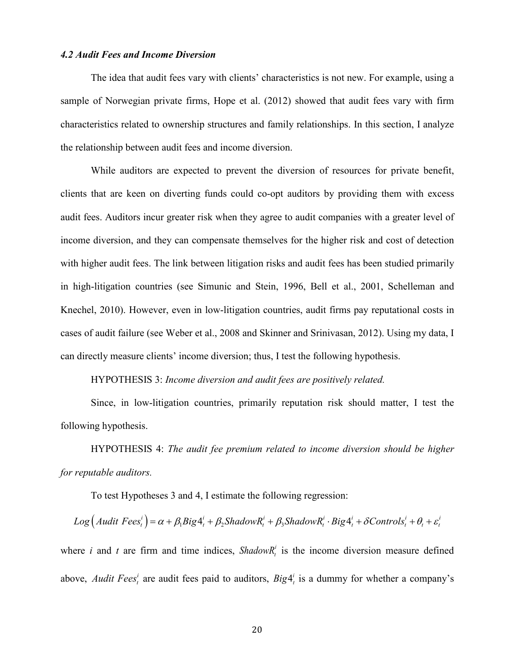#### *4.2 Audit Fees and Income Diversion*

The idea that audit fees vary with clients' characteristics is not new. For example, using a sample of Norwegian private firms, Hope et al. (2012) showed that audit fees vary with firm characteristics related to ownership structures and family relationships. In this section, I analyze the relationship between audit fees and income diversion.

While auditors are expected to prevent the diversion of resources for private benefit, clients that are keen on diverting funds could co-opt auditors by providing them with excess audit fees. Auditors incur greater risk when they agree to audit companies with a greater level of income diversion, and they can compensate themselves for the higher risk and cost of detection with higher audit fees. The link between litigation risks and audit fees has been studied primarily in high-litigation countries (see Simunic and Stein, 1996, Bell et al., 2001, Schelleman and Knechel, 2010). However, even in low-litigation countries, audit firms pay reputational costs in cases of audit failure (see Weber et al., 2008 and Skinner and Srinivasan, 2012). Using my data, I can directly measure clients' income diversion; thus, I test the following hypothesis.

# HYPOTHESIS 3: *Income diversion and audit fees are positively related.*

Since, in low-litigation countries, primarily reputation risk should matter, I test the following hypothesis.

HYPOTHESIS 4: *The audit fee premium related to income diversion should be higher for reputable auditors.*

To test Hypotheses 3 and 4, I estimate the following regression:

$$
Log (Audit\ Fees_i^i) = \alpha + \beta_1 Big4_i^i + \beta_2 ShadowR_i^i + \beta_3 ShadowR_i^i \cdot Big4_i^i + \delta Controls_i^i + \theta_i + \varepsilon_i^i
$$

where *i* and *t* are firm and time indices,  $ShadowR_t^i$  is the income diversion measure defined above, *Audit Fees<sup>i</sup>* are audit fees paid to auditors,  $Big4_i^i$  is a dummy for whether a company's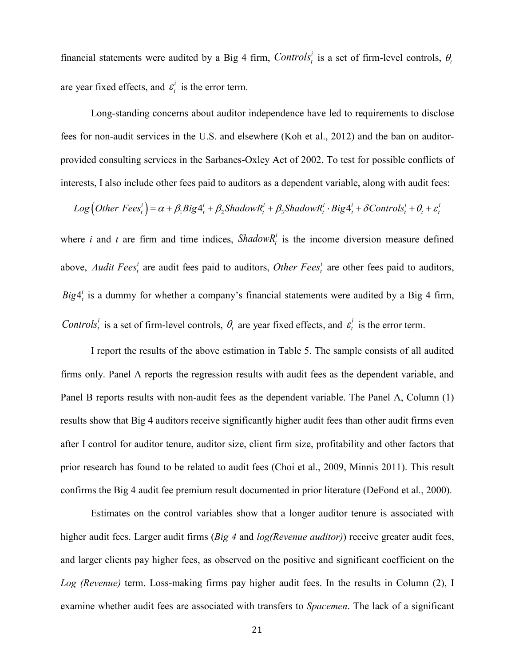financial statements were audited by a Big 4 firm, *Controls*<sup>*i*</sup> is a set of firm-level controls,  $\theta$ <sup>*t*</sup> are year fixed effects, and  $\varepsilon_t^i$  is the error term.

Long-standing concerns about auditor independence have led to requirements to disclose fees for non-audit services in the U.S. and elsewhere (Koh et al., 2012) and the ban on auditorprovided consulting services in the Sarbanes-Oxley Act of 2002. To test for possible conflicts of interests, I also include other fees paid to auditors as a dependent variable, along with audit fees:

$$
Log\left(Other\ Fees_i^i\right) = \alpha + \beta_1 Big4_i^i + \beta_2 ShadowR_i^i + \beta_3 ShadowR_i^i \cdot Big4_i^i + \delta Controls_i^i + \theta_i + \varepsilon_i^i
$$

where *i* and *t* are firm and time indices, *ShadowR*<sup>*i*</sup> is the income diversion measure defined above, *Audit Fees<sup>i</sup>* are audit fees paid to auditors, *Other Fees<sup>i</sup>* are other fees paid to auditors,  $Big4<sup>i</sup><sub>t</sub>$  is a dummy for whether a company's financial statements were audited by a Big 4 firm, *Controls<sup>i</sup>* is a set of firm-level controls,  $\theta$ <sub>*t*</sub> are year fixed effects, and  $\varepsilon$ <sup>*i*</sup> is the error term.

I report the results of the above estimation in Table 5. The sample consists of all audited firms only. Panel A reports the regression results with audit fees as the dependent variable, and Panel B reports results with non-audit fees as the dependent variable. The Panel A, Column (1) results show that Big 4 auditors receive significantly higher audit fees than other audit firms even after I control for auditor tenure, auditor size, client firm size, profitability and other factors that prior research has found to be related to audit fees (Choi et al., 2009, Minnis 2011). This result confirms the Big 4 audit fee premium result documented in prior literature (DeFond et al., 2000).

Estimates on the control variables show that a longer auditor tenure is associated with higher audit fees. Larger audit firms (*Big 4* and *log(Revenue auditor)*) receive greater audit fees, and larger clients pay higher fees, as observed on the positive and significant coefficient on the *Log (Revenue)* term. Loss-making firms pay higher audit fees. In the results in Column (2), I examine whether audit fees are associated with transfers to *Spacemen*. The lack of a significant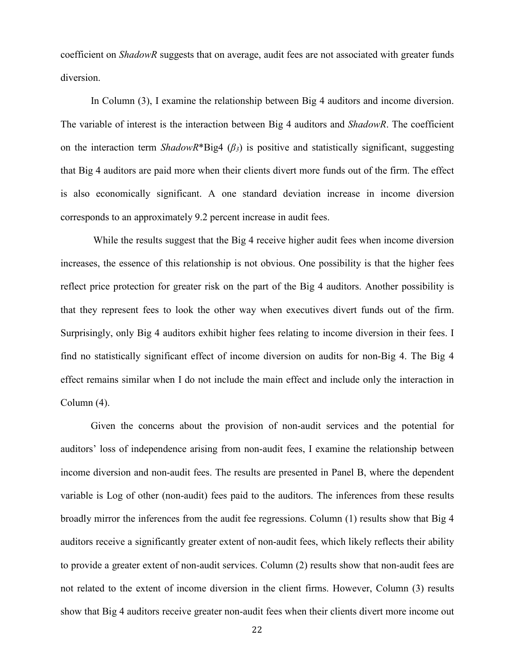coefficient on *ShadowR* suggests that on average, audit fees are not associated with greater funds diversion.

In Column (3), I examine the relationship between Big 4 auditors and income diversion. The variable of interest is the interaction between Big 4 auditors and *ShadowR*. The coefficient on the interaction term *ShadowR*\*Big4 (*β3*) is positive and statistically significant, suggesting that Big 4 auditors are paid more when their clients divert more funds out of the firm. The effect is also economically significant. A one standard deviation increase in income diversion corresponds to an approximately 9.2 percent increase in audit fees.

While the results suggest that the Big 4 receive higher audit fees when income diversion increases, the essence of this relationship is not obvious. One possibility is that the higher fees reflect price protection for greater risk on the part of the Big 4 auditors. Another possibility is that they represent fees to look the other way when executives divert funds out of the firm. Surprisingly, only Big 4 auditors exhibit higher fees relating to income diversion in their fees. I find no statistically significant effect of income diversion on audits for non-Big 4. The Big 4 effect remains similar when I do not include the main effect and include only the interaction in Column (4).

Given the concerns about the provision of non-audit services and the potential for auditors' loss of independence arising from non-audit fees, I examine the relationship between income diversion and non-audit fees. The results are presented in Panel B, where the dependent variable is Log of other (non-audit) fees paid to the auditors. The inferences from these results broadly mirror the inferences from the audit fee regressions. Column (1) results show that Big 4 auditors receive a significantly greater extent of non-audit fees, which likely reflects their ability to provide a greater extent of non-audit services. Column (2) results show that non-audit fees are not related to the extent of income diversion in the client firms. However, Column (3) results show that Big 4 auditors receive greater non-audit fees when their clients divert more income out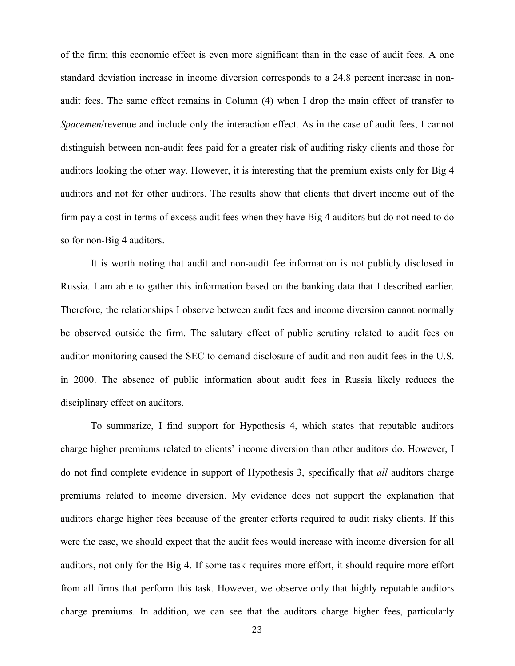of the firm; this economic effect is even more significant than in the case of audit fees. A one standard deviation increase in income diversion corresponds to a 24.8 percent increase in nonaudit fees. The same effect remains in Column (4) when I drop the main effect of transfer to *Spacemen*/revenue and include only the interaction effect. As in the case of audit fees, I cannot distinguish between non-audit fees paid for a greater risk of auditing risky clients and those for auditors looking the other way. However, it is interesting that the premium exists only for Big 4 auditors and not for other auditors. The results show that clients that divert income out of the firm pay a cost in terms of excess audit fees when they have Big 4 auditors but do not need to do so for non-Big 4 auditors.

It is worth noting that audit and non-audit fee information is not publicly disclosed in Russia. I am able to gather this information based on the banking data that I described earlier. Therefore, the relationships I observe between audit fees and income diversion cannot normally be observed outside the firm. The salutary effect of public scrutiny related to audit fees on auditor monitoring caused the SEC to demand disclosure of audit and non-audit fees in the U.S. in 2000. The absence of public information about audit fees in Russia likely reduces the disciplinary effect on auditors.

To summarize, I find support for Hypothesis 4, which states that reputable auditors charge higher premiums related to clients' income diversion than other auditors do. However, I do not find complete evidence in support of Hypothesis 3, specifically that *all* auditors charge premiums related to income diversion. My evidence does not support the explanation that auditors charge higher fees because of the greater efforts required to audit risky clients. If this were the case, we should expect that the audit fees would increase with income diversion for all auditors, not only for the Big 4. If some task requires more effort, it should require more effort from all firms that perform this task. However, we observe only that highly reputable auditors charge premiums. In addition, we can see that the auditors charge higher fees, particularly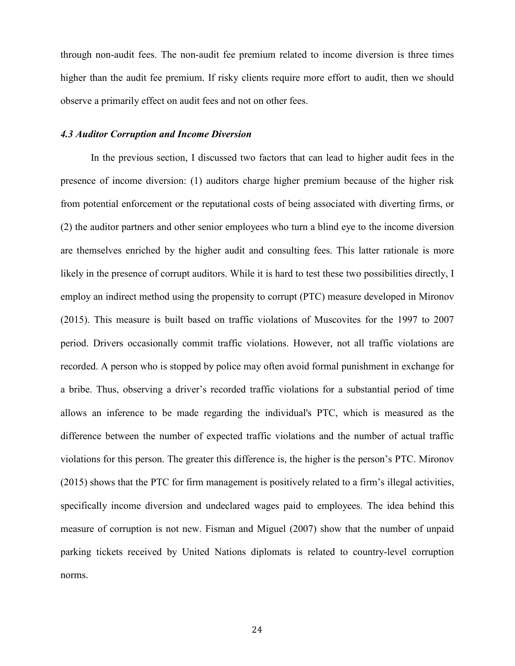through non-audit fees. The non-audit fee premium related to income diversion is three times higher than the audit fee premium. If risky clients require more effort to audit, then we should observe a primarily effect on audit fees and not on other fees.

# *4.3 Auditor Corruption and Income Diversion*

In the previous section, I discussed two factors that can lead to higher audit fees in the presence of income diversion: (1) auditors charge higher premium because of the higher risk from potential enforcement or the reputational costs of being associated with diverting firms, or (2) the auditor partners and other senior employees who turn a blind eye to the income diversion are themselves enriched by the higher audit and consulting fees. This latter rationale is more likely in the presence of corrupt auditors. While it is hard to test these two possibilities directly, I employ an indirect method using the propensity to corrupt (PTC) measure developed in Mironov (2015). This measure is built based on traffic violations of Muscovites for the 1997 to 2007 period. Drivers occasionally commit traffic violations. However, not all traffic violations are recorded. A person who is stopped by police may often avoid formal punishment in exchange for a bribe. Thus, observing a driver's recorded traffic violations for a substantial period of time allows an inference to be made regarding the individual's PTC, which is measured as the difference between the number of expected traffic violations and the number of actual traffic violations for this person. The greater this difference is, the higher is the person's PTC. Mironov (2015) shows that the PTC for firm management is positively related to a firm's illegal activities, specifically income diversion and undeclared wages paid to employees. The idea behind this measure of corruption is not new. Fisman and Miguel (2007) show that the number of unpaid parking tickets received by United Nations diplomats is related to country-level corruption norms.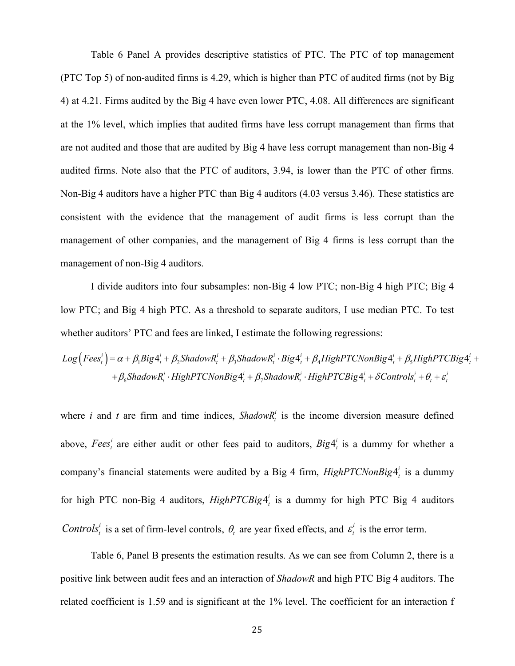Table 6 Panel A provides descriptive statistics of PTC. The PTC of top management (PTC Top 5) of non-audited firms is 4.29, which is higher than PTC of audited firms (not by Big 4) at 4.21. Firms audited by the Big 4 have even lower PTC, 4.08. All differences are significant at the 1% level, which implies that audited firms have less corrupt management than firms that are not audited and those that are audited by Big 4 have less corrupt management than non-Big 4 audited firms. Note also that the PTC of auditors, 3.94, is lower than the PTC of other firms. Non-Big 4 auditors have a higher PTC than Big 4 auditors (4.03 versus 3.46). These statistics are consistent with the evidence that the management of audit firms is less corrupt than the management of other companies, and the management of Big 4 firms is less corrupt than the management of non-Big 4 auditors.

I divide auditors into four subsamples: non-Big 4 low PTC; non-Big 4 high PTC; Big 4 low PTC; and Big 4 high PTC. As a threshold to separate auditors, I use median PTC. To test whether auditors' PTC and fees are linked, I estimate the following regressions:

 $\left( \textit{Fees}_t^i \right)$  =  $\alpha$  +  $\beta_1$ Big $4_t^i$  +  $\beta_2$ Shadow $R_t^i$  +  $\beta_3$ Shadow $R_t^i$  · Big $4_t^i$  +  $\beta_4$ HighPTCNonBig $4_t^i$  +  $\beta_5$ HighPTCBig $4_t^i$  $\mathcal{B}_6$ ShadowR $_i^i\cdot$ HighPTCNonBig $4_i^i + \beta_7$ ShadowR $_i^i\cdot$ HighPTCBig $4_i^i + \delta$ Controls $_i^i + \theta_i + \varepsilon_i^i$  $Log\left(Fees^i_t\right) = \alpha + \beta_1 Big4^i_t + \beta_2 ShadowR^i_t + \beta_3 ShadowR^i_t \cdot Big4^i_t + \beta_4 High PTCNonBig4^i_t + \beta_5 High PTCBig4^i_t + \beta_6 High PTCBig4^i_t + \beta_7 High PTCBig4^i_t + \beta_7 high PTCBig4^i_t + \beta_8 high PTCBig4^i_t + \beta_9 high PTCBig4^i_t + \beta_9 high PTCBig4^i_t + \beta_9 high PTCBig4^i_t + \beta_9 high PTCBig4^i_t + \beta_9 high PTCBig4^i_t + \beta_9 high PTCBig4^i_t + \beta_9 high PTCBig$  $t+\beta_6$ ShadowR $^i_t$  · HighPTCNonBig  $4^i_t+\beta_7$ ShadowR $^i_t$  · HighPTCBig  $4^i_t+\delta$ Controls $^i_t+\theta_t+\varepsilon^i_t$ 

where *i* and *t* are firm and time indices, *ShadowR*<sup>*i*</sup> is the income diversion measure defined above, Fees<sup>t</sup> are either audit or other fees paid to auditors,  $Big4^{i}_{t}$  is a dummy for whether a company's financial statements were audited by a Big 4 firm, *HighPTCNonBig*  $4^{i}_{i}$  is a dummy for high PTC non-Big 4 auditors,  $HighPTCBig4<sup>i</sup><sub>t</sub>$  is a dummy for high PTC Big 4 auditors *Controls<sup>i</sup>* is a set of firm-level controls,  $\theta$ <sub>*t*</sub> are year fixed effects, and  $\varepsilon$ <sup>*i*</sup> is the error term.

Table 6, Panel B presents the estimation results. As we can see from Column 2, there is a positive link between audit fees and an interaction of *ShadowR* and high PTC Big 4 auditors. The related coefficient is 1.59 and is significant at the 1% level. The coefficient for an interaction f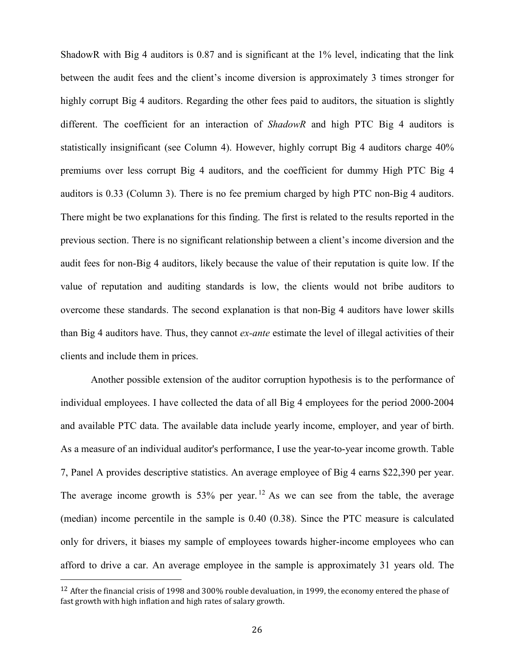ShadowR with Big 4 auditors is 0.87 and is significant at the 1% level, indicating that the link between the audit fees and the client's income diversion is approximately 3 times stronger for highly corrupt Big 4 auditors. Regarding the other fees paid to auditors, the situation is slightly different. The coefficient for an interaction of *ShadowR* and high PTC Big 4 auditors is statistically insignificant (see Column 4). However, highly corrupt Big 4 auditors charge 40% premiums over less corrupt Big 4 auditors, and the coefficient for dummy High PTC Big 4 auditors is 0.33 (Column 3). There is no fee premium charged by high PTC non-Big 4 auditors. There might be two explanations for this finding. The first is related to the results reported in the previous section. There is no significant relationship between a client's income diversion and the audit fees for non-Big 4 auditors, likely because the value of their reputation is quite low. If the value of reputation and auditing standards is low, the clients would not bribe auditors to overcome these standards. The second explanation is that non-Big 4 auditors have lower skills than Big 4 auditors have. Thus, they cannot *ex-ante* estimate the level of illegal activities of their clients and include them in prices.

Another possible extension of the auditor corruption hypothesis is to the performance of individual employees. I have collected the data of all Big 4 employees for the period 2000-2004 and available PTC data. The available data include yearly income, employer, and year of birth. As a measure of an individual auditor's performance, I use the year-to-year income growth. Table 7, Panel A provides descriptive statistics. An average employee of Big 4 earns \$22,390 per year. The average income growth is  $53\%$  per year. <sup>[12](#page-26-0)</sup> As we can see from the table, the average (median) income percentile in the sample is 0.40 (0.38). Since the PTC measure is calculated only for drivers, it biases my sample of employees towards higher-income employees who can afford to drive a car. An average employee in the sample is approximately 31 years old. The

<span id="page-26-0"></span><sup>&</sup>lt;sup>12</sup> After the financial crisis of 1998 and 300% rouble devaluation, in 1999, the economy entered the phase of fast growth with high inflation and high rates of salary growth.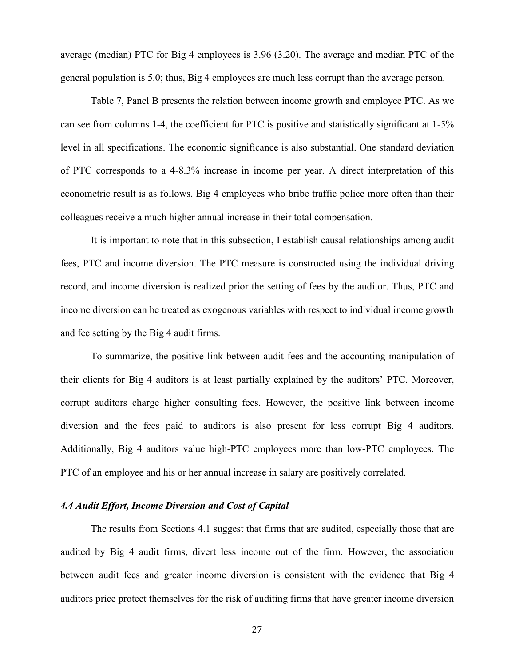average (median) PTC for Big 4 employees is 3.96 (3.20). The average and median PTC of the general population is 5.0; thus, Big 4 employees are much less corrupt than the average person.

Table 7, Panel B presents the relation between income growth and employee PTC. As we can see from columns 1-4, the coefficient for PTC is positive and statistically significant at 1-5% level in all specifications. The economic significance is also substantial. One standard deviation of PTC corresponds to a 4-8.3% increase in income per year. A direct interpretation of this econometric result is as follows. Big 4 employees who bribe traffic police more often than their colleagues receive a much higher annual increase in their total compensation.

It is important to note that in this subsection, I establish causal relationships among audit fees, PTC and income diversion. The PTC measure is constructed using the individual driving record, and income diversion is realized prior the setting of fees by the auditor. Thus, PTC and income diversion can be treated as exogenous variables with respect to individual income growth and fee setting by the Big 4 audit firms.

To summarize, the positive link between audit fees and the accounting manipulation of their clients for Big 4 auditors is at least partially explained by the auditors' PTC. Moreover, corrupt auditors charge higher consulting fees. However, the positive link between income diversion and the fees paid to auditors is also present for less corrupt Big 4 auditors. Additionally, Big 4 auditors value high-PTC employees more than low-PTC employees. The PTC of an employee and his or her annual increase in salary are positively correlated.

#### *4.4 Audit Effort, Income Diversion and Cost of Capital*

The results from Sections 4.1 suggest that firms that are audited, especially those that are audited by Big 4 audit firms, divert less income out of the firm. However, the association between audit fees and greater income diversion is consistent with the evidence that Big 4 auditors price protect themselves for the risk of auditing firms that have greater income diversion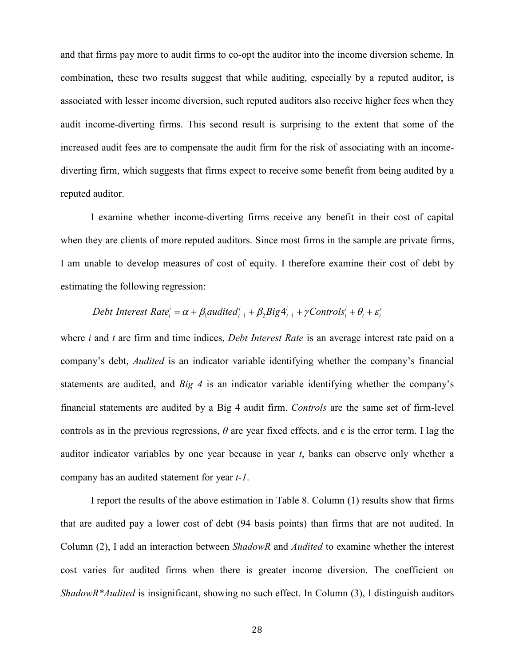and that firms pay more to audit firms to co-opt the auditor into the income diversion scheme. In combination, these two results suggest that while auditing, especially by a reputed auditor, is associated with lesser income diversion, such reputed auditors also receive higher fees when they audit income-diverting firms. This second result is surprising to the extent that some of the increased audit fees are to compensate the audit firm for the risk of associating with an incomediverting firm, which suggests that firms expect to receive some benefit from being audited by a reputed auditor.

I examine whether income-diverting firms receive any benefit in their cost of capital when they are clients of more reputed auditors. Since most firms in the sample are private firms, I am unable to develop measures of cost of equity. I therefore examine their cost of debt by estimating the following regression:

Debt Interest Rate<sub>i</sub><sup>*i*</sup> = 
$$
\alpha + \beta_1
$$
audited<sub>i-1</sub><sup>*i*</sup> +  $\beta_2$ Big4<sub>i-1</sub><sup>*i*</sup> +  $\gamma$  Controls<sub>i</sub><sup>*i*</sup> +  $\theta_i + \varepsilon_i$ <sup>*i*</sup>

where *i* and *t* are firm and time indices, *Debt Interest Rate* is an average interest rate paid on a company's debt, *Audited* is an indicator variable identifying whether the company's financial statements are audited, and *Big 4* is an indicator variable identifying whether the company's financial statements are audited by a Big 4 audit firm. *Controls* are the same set of firm-level controls as in the previous regressions,  $\theta$  are year fixed effects, and  $\epsilon$  is the error term. I lag the auditor indicator variables by one year because in year *t*, banks can observe only whether a company has an audited statement for year *t-1*.

I report the results of the above estimation in Table 8. Column (1) results show that firms that are audited pay a lower cost of debt (94 basis points) than firms that are not audited. In Column (2), I add an interaction between *ShadowR* and *Audited* to examine whether the interest cost varies for audited firms when there is greater income diversion. The coefficient on *ShadowR\*Audited* is insignificant, showing no such effect. In Column (3), I distinguish auditors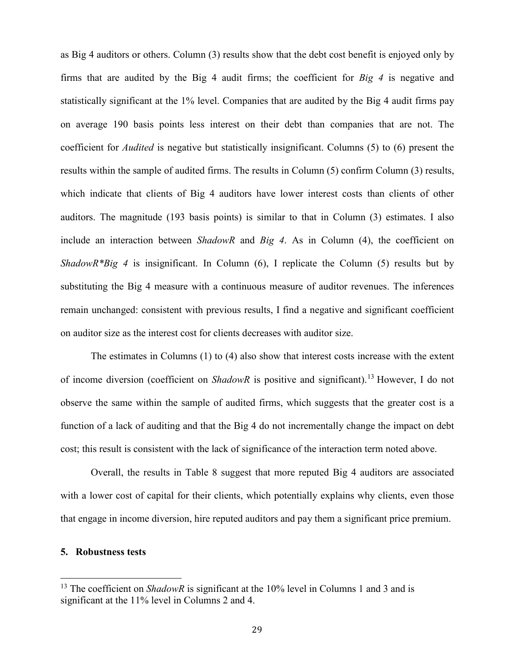as Big 4 auditors or others. Column (3) results show that the debt cost benefit is enjoyed only by firms that are audited by the Big 4 audit firms; the coefficient for *Big 4* is negative and statistically significant at the 1% level. Companies that are audited by the Big 4 audit firms pay on average 190 basis points less interest on their debt than companies that are not. The coefficient for *Audited* is negative but statistically insignificant. Columns (5) to (6) present the results within the sample of audited firms. The results in Column (5) confirm Column (3) results, which indicate that clients of Big 4 auditors have lower interest costs than clients of other auditors. The magnitude (193 basis points) is similar to that in Column (3) estimates. I also include an interaction between *ShadowR* and *Big 4*. As in Column (4), the coefficient on *ShadowR\*Big 4* is insignificant. In Column (6), I replicate the Column (5) results but by substituting the Big 4 measure with a continuous measure of auditor revenues. The inferences remain unchanged: consistent with previous results, I find a negative and significant coefficient on auditor size as the interest cost for clients decreases with auditor size.

The estimates in Columns (1) to (4) also show that interest costs increase with the extent of income diversion (coefficient on *ShadowR* is positive and significant). [13](#page-29-0) However, I do not observe the same within the sample of audited firms, which suggests that the greater cost is a function of a lack of auditing and that the Big 4 do not incrementally change the impact on debt cost; this result is consistent with the lack of significance of the interaction term noted above.

Overall, the results in Table 8 suggest that more reputed Big 4 auditors are associated with a lower cost of capital for their clients, which potentially explains why clients, even those that engage in income diversion, hire reputed auditors and pay them a significant price premium.

# **5. Robustness tests**

<span id="page-29-0"></span><sup>&</sup>lt;sup>13</sup> The coefficient on *ShadowR* is significant at the 10% level in Columns 1 and 3 and is significant at the 11% level in Columns 2 and 4.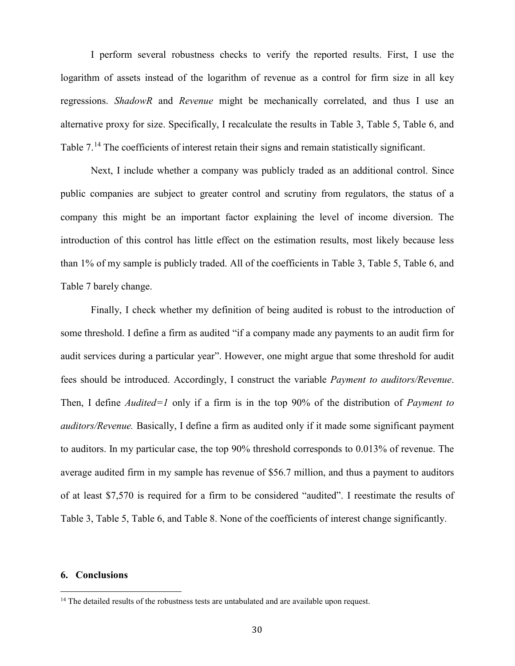I perform several robustness checks to verify the reported results. First, I use the logarithm of assets instead of the logarithm of revenue as a control for firm size in all key regressions. *ShadowR* and *Revenue* might be mechanically correlated, and thus I use an alternative proxy for size. Specifically, I recalculate the results in Table 3, Table 5, Table 6, and Table 7.<sup>[14](#page-30-0)</sup> The coefficients of interest retain their signs and remain statistically significant.

Next, I include whether a company was publicly traded as an additional control. Since public companies are subject to greater control and scrutiny from regulators, the status of a company this might be an important factor explaining the level of income diversion. The introduction of this control has little effect on the estimation results, most likely because less than 1% of my sample is publicly traded. All of the coefficients in Table 3, Table 5, Table 6, and Table 7 barely change.

Finally, I check whether my definition of being audited is robust to the introduction of some threshold. I define a firm as audited "if a company made any payments to an audit firm for audit services during a particular year". However, one might argue that some threshold for audit fees should be introduced. Accordingly, I construct the variable *Payment to auditors/Revenue*. Then, I define *Audited=1* only if a firm is in the top 90% of the distribution of *Payment to auditors/Revenue.* Basically, I define a firm as audited only if it made some significant payment to auditors. In my particular case, the top 90% threshold corresponds to 0.013% of revenue. The average audited firm in my sample has revenue of \$56.7 million, and thus a payment to auditors of at least \$7,570 is required for a firm to be considered "audited". I reestimate the results of Table 3, Table 5, Table 6, and Table 8. None of the coefficients of interest change significantly.

# **6. Conclusions**

<span id="page-30-0"></span> $14$  The detailed results of the robustness tests are untabulated and are available upon request.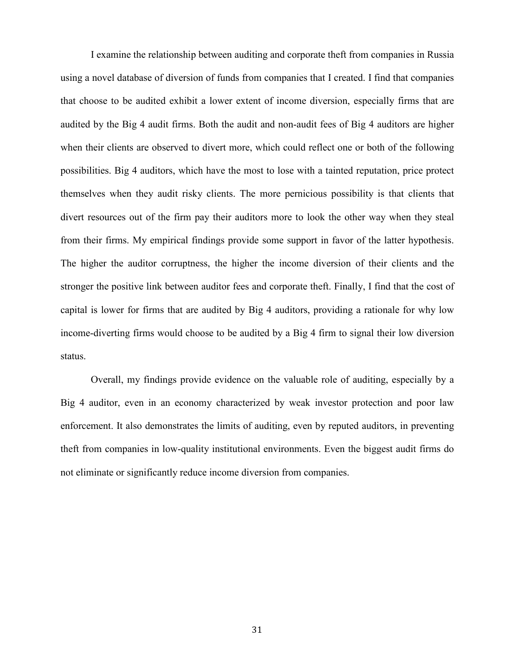I examine the relationship between auditing and corporate theft from companies in Russia using a novel database of diversion of funds from companies that I created. I find that companies that choose to be audited exhibit a lower extent of income diversion, especially firms that are audited by the Big 4 audit firms. Both the audit and non-audit fees of Big 4 auditors are higher when their clients are observed to divert more, which could reflect one or both of the following possibilities. Big 4 auditors, which have the most to lose with a tainted reputation, price protect themselves when they audit risky clients. The more pernicious possibility is that clients that divert resources out of the firm pay their auditors more to look the other way when they steal from their firms. My empirical findings provide some support in favor of the latter hypothesis. The higher the auditor corruptness, the higher the income diversion of their clients and the stronger the positive link between auditor fees and corporate theft. Finally, I find that the cost of capital is lower for firms that are audited by Big 4 auditors, providing a rationale for why low income-diverting firms would choose to be audited by a Big 4 firm to signal their low diversion status.

Overall, my findings provide evidence on the valuable role of auditing, especially by a Big 4 auditor, even in an economy characterized by weak investor protection and poor law enforcement. It also demonstrates the limits of auditing, even by reputed auditors, in preventing theft from companies in low-quality institutional environments. Even the biggest audit firms do not eliminate or significantly reduce income diversion from companies.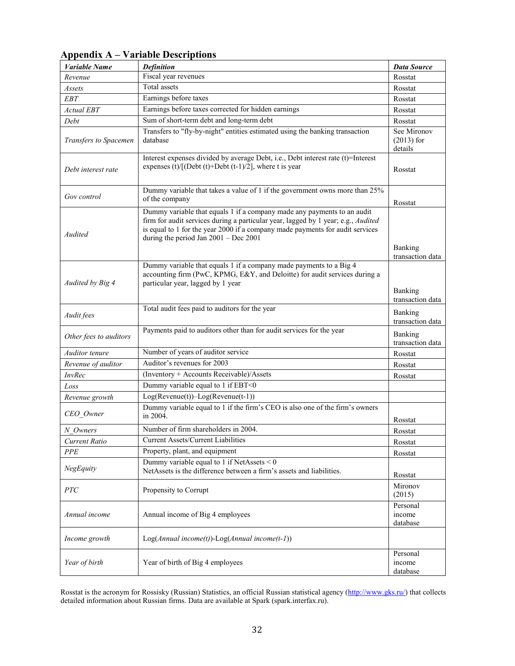| Variable Name          | <b>Definition</b>                                                                                                                                                                                                                                                                        | <b>Data Source</b>                     |
|------------------------|------------------------------------------------------------------------------------------------------------------------------------------------------------------------------------------------------------------------------------------------------------------------------------------|----------------------------------------|
| Revenue                | Fiscal year revenues                                                                                                                                                                                                                                                                     | Rosstat                                |
| Assets                 | Total assets                                                                                                                                                                                                                                                                             | Rosstat                                |
| <b>EBT</b>             | Earnings before taxes                                                                                                                                                                                                                                                                    | Rosstat                                |
| <b>Actual EBT</b>      | Earnings before taxes corrected for hidden earnings                                                                                                                                                                                                                                      | Rosstat                                |
| Debt                   | Sum of short-term debt and long-term debt                                                                                                                                                                                                                                                | Rosstat                                |
| Transfers to Spacemen  | Transfers to "fly-by-night" entities estimated using the banking transaction<br>database                                                                                                                                                                                                 | See Mironov<br>$(2013)$ for<br>details |
| Debt interest rate     | Interest expenses divided by average Debt, i.e., Debt interest rate (t)=Interest<br>expenses (t)/[(Debt (t)+Debt (t-1)/2], where t is year                                                                                                                                               | Rosstat                                |
| Gov control            | Dummy variable that takes a value of 1 if the government owns more than 25%<br>of the company                                                                                                                                                                                            | Rosstat                                |
| Audited                | Dummy variable that equals 1 if a company made any payments to an audit<br>firm for audit services during a particular year, lagged by 1 year; e.g., Audited<br>is equal to 1 for the year 2000 if a company made payments for audit services<br>during the period Jan $2001 - Dec 2001$ | Banking<br>transaction data            |
| Audited by Big 4       | Dummy variable that equals 1 if a company made payments to a Big 4<br>accounting firm (PwC, KPMG, E&Y, and Deloitte) for audit services during a<br>particular year, lagged by 1 year                                                                                                    | Banking<br>transaction data            |
| Audit fees             | Total audit fees paid to auditors for the year                                                                                                                                                                                                                                           | Banking<br>transaction data            |
| Other fees to auditors | Payments paid to auditors other than for audit services for the year                                                                                                                                                                                                                     | Banking<br>transaction data            |
| Auditor tenure         | Number of years of auditor service                                                                                                                                                                                                                                                       | Rosstat                                |
| Revenue of auditor     | Auditor's revenues for 2003                                                                                                                                                                                                                                                              | Rosstat                                |
| <b>InvRec</b>          | (Inventory + Accounts Receivable)/Assets                                                                                                                                                                                                                                                 | Rosstat                                |
| Loss                   | Dummy variable equal to 1 if EBT<0                                                                                                                                                                                                                                                       |                                        |
| Revenue growth         | $Log( Revenue(t)) - Log( Revenue(t-1))$                                                                                                                                                                                                                                                  |                                        |
| CEO_Owner              | Dummy variable equal to 1 if the firm's CEO is also one of the firm's owners<br>in 2004.                                                                                                                                                                                                 | Rosstat                                |
| N Owners               | Number of firm shareholders in 2004.                                                                                                                                                                                                                                                     | Rosstat                                |
| Current Ratio          | Current Assets/Current Liabilities                                                                                                                                                                                                                                                       | Rosstat                                |
| <b>PPE</b>             | Property, plant, and equipment                                                                                                                                                                                                                                                           | Rosstat                                |
| NegEquity              | Dummy variable equal to 1 if NetAssets $<$ 0<br>NetAssets is the difference between a firm's assets and liabilities.                                                                                                                                                                     | Rosstat                                |
| PTC                    | Propensity to Corrupt                                                                                                                                                                                                                                                                    | Mironov<br>(2015)                      |
| Annual income          | Annual income of Big 4 employees                                                                                                                                                                                                                                                         | Personal<br>income<br>database         |
| Income growth          | $Log(Annual income(t))$ - $Log(Annual income(t-1))$                                                                                                                                                                                                                                      |                                        |
| Year of birth          | Year of birth of Big 4 employees                                                                                                                                                                                                                                                         | Personal<br>income<br>database         |

# **Appendix A – Variable Descriptions**

Rosstat is the acronym for Rossisky (Russian) Statistics, an official Russian statistical agency [\(http://www.gks.ru/\)](http://www.gks.ru/) that collects detailed information about Russian firms. Data are available at Spark (spark.interfax.ru).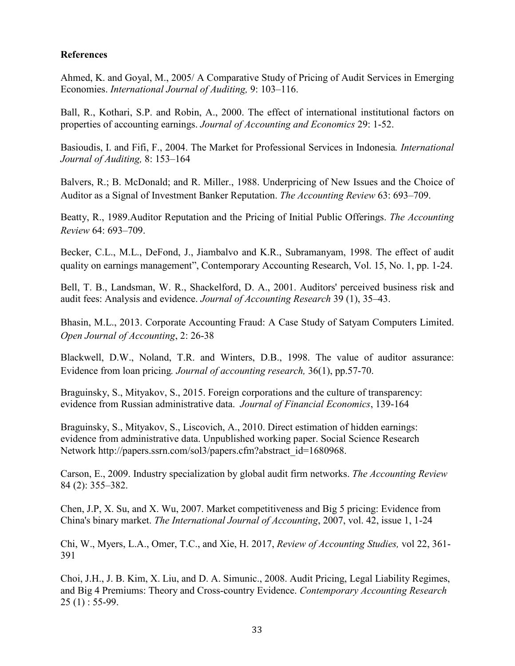# **References**

Ahmed, K. and Goyal, M., 2005/ A Comparative Study of Pricing of Audit Services in Emerging Economies. *International Journal of Auditing,* 9: 103–116.

Ball, R., Kothari, S.P. and Robin, A., 2000. The effect of international institutional factors on properties of accounting earnings. *Journal of Accounting and Economics* 29: 1-52.

Basioudis, I. and Fifi, F., 2004. The Market for Professional Services in Indonesia*. International Journal of Auditing,* 8: 153–164

Balvers, R.; B. McDonald; and R. Miller., 1988. Underpricing of New Issues and the Choice of Auditor as a Signal of Investment Banker Reputation. *The Accounting Review* 63: 693–709.

Beatty, R., 1989.Auditor Reputation and the Pricing of Initial Public Offerings. *The Accounting Review* 64: 693–709.

Becker, C.L., M.L., DeFond, J., Jiambalvo and K.R., Subramanyam, 1998. The effect of audit quality on earnings management", Contemporary Accounting Research, Vol. 15, No. 1, pp. 1-24.

Bell, T. B., Landsman, W. R., Shackelford, D. A., 2001. Auditors' perceived business risk and audit fees: Analysis and evidence. *Journal of Accounting Research* 39 (1), 35–43.

Bhasin, M.L., 2013. Corporate Accounting Fraud: A Case Study of Satyam Computers Limited. *Open Journal of Accounting*, 2: 26-38

Blackwell, D.W., Noland, T.R. and Winters, D.B., 1998. The value of auditor assurance: Evidence from loan pricing*. Journal of accounting research,* 36(1), pp.57-70.

Braguinsky, S., Mityakov, S., 2015. Foreign corporations and the culture of transparency: evidence from Russian administrative data. *Journal of Financial Economics*, 139-164

Braguinsky, S., Mityakov, S., Liscovich, A., 2010. Direct estimation of hidden earnings: evidence from administrative data. Unpublished working paper. Social Science Research Network http://papers.ssrn.com/sol3/papers.cfm?abstract\_id=1680968.

Carson, E., 2009. Industry specialization by global audit firm networks. *The Accounting Review* 84 (2): 355–382.

Chen, J.P, X. Su, and X. Wu, 2007. Market competitiveness and Big 5 pricing: Evidence from China's binary market. *The International Journal of Accounting*, 2007, vol. 42, issue 1, 1-24

Chi, W., Myers, L.A., Omer, T.C., and Xie, H. 2017, *Review of Accounting Studies,* vol 22, 361- 391

Choi, J.H., J. B. Kim, X. Liu, and D. A. Simunic., 2008. Audit Pricing, Legal Liability Regimes, and Big 4 Premiums: Theory and Cross-country Evidence. *Contemporary Accounting Research*  $25(1): 55-99.$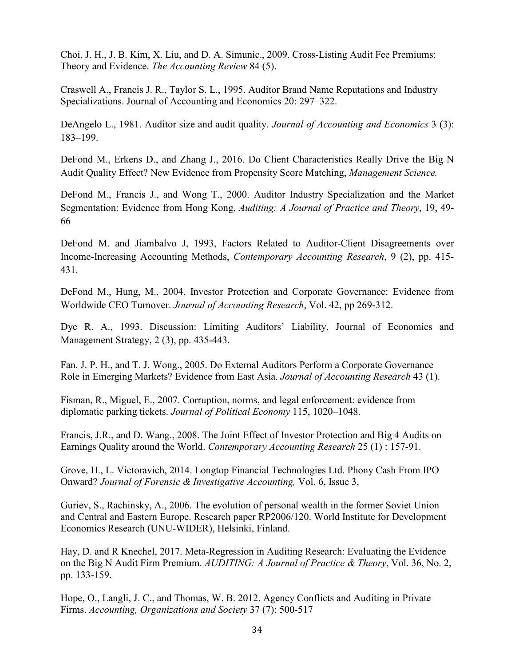Choi, J. H., J. B. Kim, X. Liu, and D. A. Simunic., 2009. Cross-Listing Audit Fee Premiums: Theory and Evidence. *The Accounting Review* 84 (5).

Craswell A., Francis J. R., Taylor S. L., 1995. Auditor Brand Name Reputations and Industry Specializations. Journal of Accounting and Economics 20: 297–322.

DeAngelo L., 1981. Auditor size and audit quality. *Journal of Accounting and Economics* 3 (3): 183–199.

DeFond M., Erkens D., and Zhang J., 2016. Do Client Characteristics Really Drive the Big N Audit Quality Effect? New Evidence from Propensity Score Matching, *Management Science.*

DeFond M., Francis J., and Wong T., 2000. Auditor Industry Specialization and the Market Segmentation: Evidence from Hong Kong, *Auditing: A Journal of Practice and Theory*, 19, 49- 66

DeFond M. and Jiambalvo J, 1993, Factors Related to Auditor-Client Disagreements over Income-Increasing Accounting Methods, *Contemporary Accounting Research*, 9 (2), pp. 415- 431.

DeFond M., Hung, M., 2004. Investor Protection and Corporate Governance: Evidence from Worldwide CEO Turnover. *Journal of Accounting Research*, Vol. 42, pp 269-312.

Dye R. A., 1993. Discussion: Limiting Auditors' Liability, Journal of Economics and Management Strategy, 2 (3), pp. 435-443.

Fan. J. P. H., and T. J. Wong., 2005. Do External Auditors Perform a Corporate Governance Role in Emerging Markets? Evidence from East Asia. *Journal of Accounting Research* 43 (1).

Fisman, R., Miguel, E., 2007. Corruption, norms, and legal enforcement: evidence from diplomatic parking tickets. *Journal of Political Economy* 115, 1020–1048.

Francis, J.R., and D. Wang., 2008. The Joint Effect of Investor Protection and Big 4 Audits on Earnings Quality around the World. *Contemporary Accounting Research* 25 (1) : 157-91.

Grove, H., L. Victoravich, 2014. Longtop Financial Technologies Ltd. Phony Cash From IPO Onward? *Journal of Forensic & Investigative Accounting,* Vol. 6, Issue 3,

Guriev, S., Rachinsky, A., 2006. The evolution of personal wealth in the former Soviet Union and Central and Eastern Europe. Research paper RP2006/120. World Institute for Development Economics Research (UNU-WIDER), Helsinki, Finland.

Hay, D. and R Knechel, 2017. Meta-Regression in Auditing Research: Evaluating the Evidence on the Big N Audit Firm Premium. *AUDITING: A Journal of Practice & Theory*, Vol. 36, No. 2, pp. 133-159.

Hope, O., Langli, J. C., and Thomas, W. B. 2012. Agency Conflicts and Auditing in Private Firms. *Accounting, Organizations and Society* 37 (7): 500-517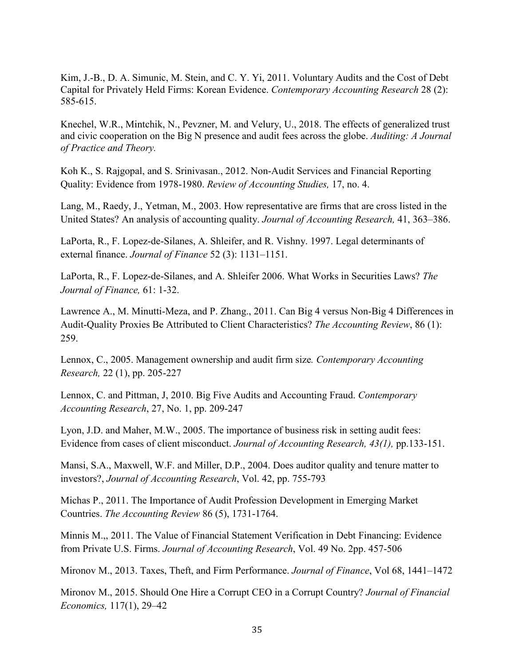Kim, J.-B., D. A. Simunic, M. Stein, and C. Y. Yi, 2011. Voluntary Audits and the Cost of Debt Capital for Privately Held Firms: Korean Evidence. *Contemporary Accounting Research* 28 (2): 585-615.

Knechel, W.R., Mintchik, N., Pevzner, M. and Velury, U., 2018. The effects of generalized trust and civic cooperation on the Big N presence and audit fees across the globe. *Auditing: A Journal of Practice and Theory.*

Koh K., S. Rajgopal, and S. Srinivasan., 2012. Non-Audit Services and Financial Reporting Quality: Evidence from 1978-1980. *Review of Accounting Studies,* 17, no. 4.

Lang, M., Raedy, J., Yetman, M., 2003. How representative are firms that are cross listed in the United States? An analysis of accounting quality. *Journal of Accounting Research,* 41, 363–386.

LaPorta, R., F. Lopez-de-Silanes, A. Shleifer, and R. Vishny. 1997. Legal determinants of external finance. *Journal of Finance* 52 (3): 1131–1151.

LaPorta, R., F. Lopez-de-Silanes, and A. Shleifer 2006. What Works in Securities Laws? *The Journal of Finance,* 61: 1-32.

Lawrence A., M. Minutti-Meza, and P. Zhang., 2011. Can Big 4 versus Non-Big 4 Differences in Audit-Quality Proxies Be Attributed to Client Characteristics? *The Accounting Review*, 86 (1): 259.

Lennox, C., 2005. Management ownership and audit firm size*. Contemporary Accounting Research,* 22 (1), pp. 205-227

Lennox, C. and Pittman, J, 2010. Big Five Audits and Accounting Fraud. *Contemporary Accounting Research*, 27, No. 1, pp. 209-247

Lyon, J.D. and Maher, M.W., 2005. The importance of business risk in setting audit fees: Evidence from cases of client misconduct. *Journal of Accounting Research, 43(1),* pp.133-151.

Mansi, S.A., Maxwell, W.F. and Miller, D.P., 2004. Does auditor quality and tenure matter to investors?, *Journal of Accounting Research*, Vol. 42, pp. 755-793

Michas P., 2011. The Importance of Audit Profession Development in Emerging Market Countries. *The Accounting Review* 86 (5), 1731-1764.

Minnis M.,, 2011. The Value of Financial Statement Verification in Debt Financing: Evidence from Private U.S. Firms. *Journal of Accounting Research*, Vol. 49 No. 2pp. 457-506

Mironov M., 2013. Taxes, Theft, and Firm Performance. *Journal of Finance*, Vol 68, 1441–1472

Mironov M., 2015. Should One Hire a Corrupt CEO in a Corrupt Country? *Journal of Financial Economics,* 117(1), 29–42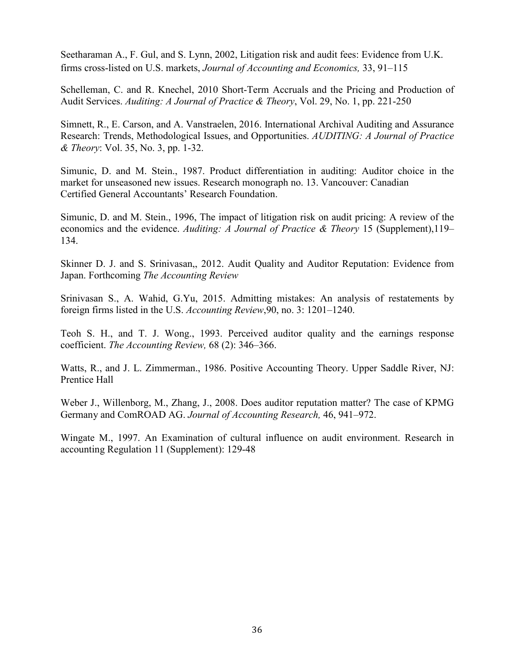Seetharaman A., F. Gul, and S. Lynn, 2002, Litigation risk and audit fees: Evidence from U.K. firms cross-listed on U.S. markets, *Journal of Accounting and Economics,* 33, 91–115

Schelleman, C. and R. Knechel, 2010 Short-Term Accruals and the Pricing and Production of Audit Services. *Auditing: A Journal of Practice & Theory*, Vol. 29, No. 1, pp. 221-250

Simnett, R., E. Carson, and A. Vanstraelen, 2016. International Archival Auditing and Assurance Research: Trends, Methodological Issues, and Opportunities. *AUDITING: A Journal of Practice & Theory*: Vol. 35, No. 3, pp. 1-32.

Simunic, D. and M. Stein., 1987. Product differentiation in auditing: Auditor choice in the market for unseasoned new issues. Research monograph no. 13. Vancouver: Canadian Certified General Accountants' Research Foundation.

Simunic, D. and M. Stein., 1996, The impact of litigation risk on audit pricing: A review of the economics and the evidence. *Auditing: A Journal of Practice & Theory* 15 (Supplement),119– 134.

Skinner D. J. and S. Srinivasan,, 2012. Audit Quality and Auditor Reputation: Evidence from Japan. Forthcoming *The Accounting Review*

Srinivasan S., A. Wahid, G.Yu, 2015. Admitting mistakes: An analysis of restatements by foreign firms listed in the U.S. *Accounting Review*,90, no. 3: 1201–1240.

Teoh S. H., and T. J. Wong., 1993. Perceived auditor quality and the earnings response coefficient. *The Accounting Review,* 68 (2): 346–366.

Watts, R., and J. L. Zimmerman., 1986. Positive Accounting Theory. Upper Saddle River, NJ: Prentice Hall

Weber J., Willenborg, M., Zhang, J., 2008. Does auditor reputation matter? The case of KPMG Germany and ComROAD AG. *Journal of Accounting Research,* 46, 941–972.

Wingate M., 1997. An Examination of cultural influence on audit environment. Research in accounting Regulation 11 (Supplement): 129-48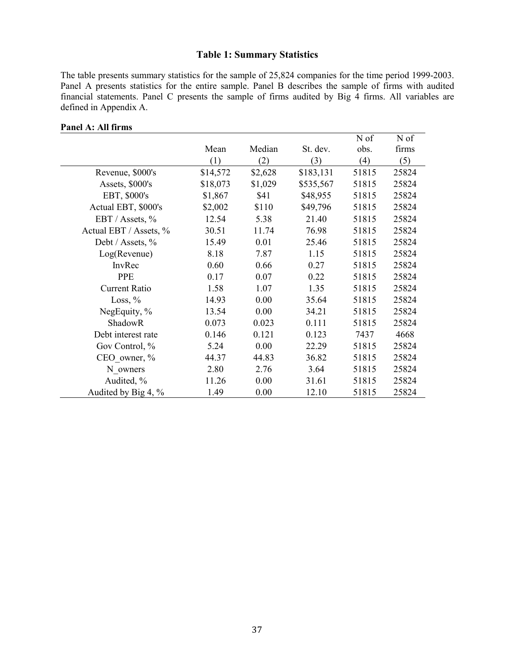# **Table 1: Summary Statistics**

The table presents summary statistics for the sample of 25,824 companies for the time period 1999-2003. Panel A presents statistics for the entire sample. Panel B describes the sample of firms with audited financial statements. Panel C presents the sample of firms audited by Big 4 firms. All variables are defined in Appendix A.

| ганеі А; Ан штін <b>у</b> |          |         |           |       |       |
|---------------------------|----------|---------|-----------|-------|-------|
|                           |          |         |           | N of  | N of  |
|                           | Mean     | Median  | St. dev.  | obs.  | firms |
|                           | (1)      | (2)     | (3)       | (4)   | (5)   |
| Revenue, \$000's          | \$14,572 | \$2,628 | \$183,131 | 51815 | 25824 |
| Assets, \$000's           | \$18,073 | \$1,029 | \$535,567 | 51815 | 25824 |
| EBT, \$000's              | \$1,867  | \$41    | \$48,955  | 51815 | 25824 |
| Actual EBT, \$000's       | \$2,002  | \$110   | \$49,796  | 51815 | 25824 |
| EBT / Assets, %           | 12.54    | 5.38    | 21.40     | 51815 | 25824 |
| Actual EBT / Assets, %    | 30.51    | 11.74   | 76.98     | 51815 | 25824 |
| Debt / Assets, %          | 15.49    | 0.01    | 25.46     | 51815 | 25824 |
| Log(Revenue)              | 8.18     | 7.87    | 1.15      | 51815 | 25824 |
| InvRec                    | 0.60     | 0.66    | 0.27      | 51815 | 25824 |
| <b>PPE</b>                | 0.17     | 0.07    | 0.22      | 51815 | 25824 |
| <b>Current Ratio</b>      | 1.58     | 1.07    | 1.35      | 51815 | 25824 |
| Loss, $%$                 | 14.93    | 0.00    | 35.64     | 51815 | 25824 |
| NegEquity, %              | 13.54    | 0.00    | 34.21     | 51815 | 25824 |
| ShadowR                   | 0.073    | 0.023   | 0.111     | 51815 | 25824 |
| Debt interest rate        | 0.146    | 0.121   | 0.123     | 7437  | 4668  |
| Gov Control, %            | 5.24     | 0.00    | 22.29     | 51815 | 25824 |
| CEO owner, %              | 44.37    | 44.83   | 36.82     | 51815 | 25824 |
| N owners                  | 2.80     | 2.76    | 3.64      | 51815 | 25824 |
| Audited, %                | 11.26    | 0.00    | 31.61     | 51815 | 25824 |
| Audited by Big 4, %       | 1.49     | 0.00    | 12.10     | 51815 | 25824 |

# **Panel A: All firms**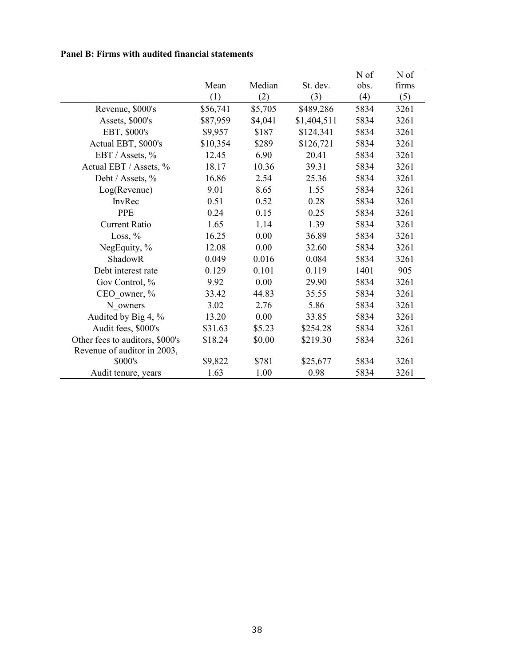|  |  |  |  | <b>Panel B: Firms with audited financial statements</b> |
|--|--|--|--|---------------------------------------------------------|
|--|--|--|--|---------------------------------------------------------|

|                                 |          |         |             | N of | N of  |
|---------------------------------|----------|---------|-------------|------|-------|
|                                 | Mean     | Median  | St. dev.    | obs. | firms |
|                                 | (1)      | (2)     | (3)         | (4)  | (5)   |
| Revenue, \$000's                | \$56,741 | \$5,705 | \$489,286   | 5834 | 3261  |
| Assets, \$000's                 | \$87,959 | \$4,041 | \$1,404,511 | 5834 | 3261  |
| EBT, \$000's                    | \$9,957  | \$187   | \$124,341   | 5834 | 3261  |
| Actual EBT, \$000's             | \$10,354 | \$289   | \$126,721   | 5834 | 3261  |
| EBT / Assets, %                 | 12.45    | 6.90    | 20.41       | 5834 | 3261  |
| Actual EBT / Assets, %          | 18.17    | 10.36   | 39.31       | 5834 | 3261  |
| Debt / Assets, %                | 16.86    | 2.54    | 25.36       | 5834 | 3261  |
| Log(Revenue)                    | 9.01     | 8.65    | 1.55        | 5834 | 3261  |
| InvRec                          | 0.51     | 0.52    | 0.28        | 5834 | 3261  |
| <b>PPE</b>                      | 0.24     | 0.15    | 0.25        | 5834 | 3261  |
| <b>Current Ratio</b>            | 1.65     | 1.14    | 1.39        | 5834 | 3261  |
| Loss, $%$                       | 16.25    | 0.00    | 36.89       | 5834 | 3261  |
| NegEquity, %                    | 12.08    | 0.00    | 32.60       | 5834 | 3261  |
| ShadowR                         | 0.049    | 0.016   | 0.084       | 5834 | 3261  |
| Debt interest rate              | 0.129    | 0.101   | 0.119       | 1401 | 905   |
| Gov Control, %                  | 9.92     | 0.00    | 29.90       | 5834 | 3261  |
| CEO owner, %                    | 33.42    | 44.83   | 35.55       | 5834 | 3261  |
| N owners                        | 3.02     | 2.76    | 5.86        | 5834 | 3261  |
| Audited by Big 4, %             | 13.20    | 0.00    | 33.85       | 5834 | 3261  |
| Audit fees, \$000's             | \$31.63  | \$5.23  | \$254.28    | 5834 | 3261  |
| Other fees to auditors, \$000's | \$18.24  | \$0.00  | \$219.30    | 5834 | 3261  |
| Revenue of auditor in 2003,     |          |         |             |      |       |
| \$000's                         | \$9,822  | \$781   | \$25,677    | 5834 | 3261  |
| Audit tenure, years             | 1.63     | 1.00    | 0.98        | 5834 | 3261  |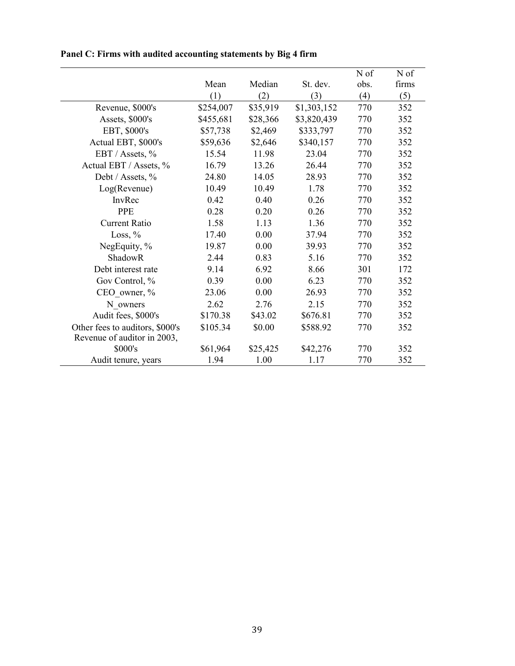|                                 |           |          |             | N of | N of  |
|---------------------------------|-----------|----------|-------------|------|-------|
|                                 | Mean      | Median   | St. dev.    | obs. | firms |
|                                 | (1)       | (2)      | (3)         | (4)  | (5)   |
| Revenue, \$000's                | \$254,007 | \$35,919 | \$1,303,152 | 770  | 352   |
| Assets, \$000's                 | \$455,681 | \$28,366 | \$3,820,439 | 770  | 352   |
| EBT, \$000's                    | \$57,738  | \$2,469  | \$333,797   | 770  | 352   |
| Actual EBT, \$000's             | \$59,636  | \$2,646  | \$340,157   | 770  | 352   |
| EBT / Assets, %                 | 15.54     | 11.98    | 23.04       | 770  | 352   |
| Actual EBT / Assets, %          | 16.79     | 13.26    | 26.44       | 770  | 352   |
| Debt / Assets, %                | 24.80     | 14.05    | 28.93       | 770  | 352   |
| Log(Revenue)                    | 10.49     | 10.49    | 1.78        | 770  | 352   |
| InvRec                          | 0.42      | 0.40     | 0.26        | 770  | 352   |
| <b>PPE</b>                      | 0.28      | 0.20     | 0.26        | 770  | 352   |
| <b>Current Ratio</b>            | 1.58      | 1.13     | 1.36        | 770  | 352   |
| Loss, $%$                       | 17.40     | 0.00     | 37.94       | 770  | 352   |
| NegEquity, %                    | 19.87     | 0.00     | 39.93       | 770  | 352   |
| ShadowR                         | 2.44      | 0.83     | 5.16        | 770  | 352   |
| Debt interest rate              | 9.14      | 6.92     | 8.66        | 301  | 172   |
| Gov Control, %                  | 0.39      | 0.00     | 6.23        | 770  | 352   |
| CEO owner, %                    | 23.06     | 0.00     | 26.93       | 770  | 352   |
| N owners                        | 2.62      | 2.76     | 2.15        | 770  | 352   |
| Audit fees, \$000's             | \$170.38  | \$43.02  | \$676.81    | 770  | 352   |
| Other fees to auditors, \$000's | \$105.34  | \$0.00   | \$588.92    | 770  | 352   |
| Revenue of auditor in 2003,     |           |          |             |      |       |
| \$000's                         | \$61,964  | \$25,425 | \$42,276    | 770  | 352   |
| Audit tenure, years             | 1.94      | 1.00     | 1.17        | 770  | 352   |

# **Panel C: Firms with audited accounting statements by Big 4 firm**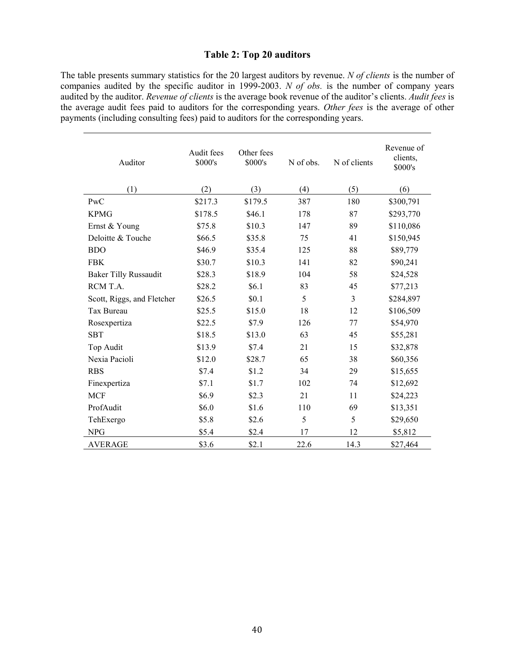# **Table 2: Top 20 auditors**

The table presents summary statistics for the 20 largest auditors by revenue. *N of clients* is the number of companies audited by the specific auditor in 1999-2003. *N of obs.* is the number of company years audited by the auditor. *Revenue of clients* is the average book revenue of the auditor's clients. *Audit fees* is the average audit fees paid to auditors for the corresponding years. *Other fees* is the average of other payments (including consulting fees) paid to auditors for the corresponding years.

| Auditor                      | Audit fees<br>\$000's | Other fees<br>\$000's | N of obs. | N of clients | Revenue of<br>clients,<br>\$000's |
|------------------------------|-----------------------|-----------------------|-----------|--------------|-----------------------------------|
| (1)                          | (2)                   | (3)                   | (4)       | (5)          | (6)                               |
| PwC                          | \$217.3               | \$179.5               | 387       | 180          | \$300,791                         |
| <b>KPMG</b>                  | \$178.5               | \$46.1                | 178       | 87           | \$293,770                         |
| Ernst & Young                | \$75.8                | \$10.3                | 147       | 89           | \$110,086                         |
| Deloitte & Touche            | \$66.5                | \$35.8                | 75        | 41           | \$150,945                         |
| <b>BDO</b>                   | \$46.9                | \$35.4                | 125       | 88           | \$89,779                          |
| <b>FBK</b>                   | \$30.7                | \$10.3                | 141       | 82           | \$90,241                          |
| <b>Baker Tilly Russaudit</b> | \$28.3                | \$18.9                | 104       | 58           | \$24,528                          |
| RCM T.A.                     | \$28.2                | \$6.1                 | 83        | 45           | \$77,213                          |
| Scott, Riggs, and Fletcher   | \$26.5                | \$0.1                 | 5         | 3            | \$284,897                         |
| Tax Bureau                   | \$25.5                | \$15.0                | 18        | 12           | \$106,509                         |
| Rosexpertiza                 | \$22.5                | \$7.9                 | 126       | 77           | \$54,970                          |
| <b>SBT</b>                   | \$18.5                | \$13.0                | 63        | 45           | \$55,281                          |
| Top Audit                    | \$13.9                | \$7.4                 | 21        | 15           | \$32,878                          |
| Nexia Pacioli                | \$12.0                | \$28.7                | 65        | 38           | \$60,356                          |
| <b>RBS</b>                   | \$7.4                 | \$1.2                 | 34        | 29           | \$15,655                          |
| Finexpertiza                 | \$7.1                 | \$1.7                 | 102       | 74           | \$12,692                          |
| <b>MCF</b>                   | \$6.9                 | \$2.3                 | 21        | 11           | \$24,223                          |
| ProfAudit                    | \$6.0                 | \$1.6                 | 110       | 69           | \$13,351                          |
| TehExergo                    | \$5.8                 | \$2.6                 | 5         | 5            | \$29,650                          |
| <b>NPG</b>                   | \$5.4                 | \$2.4                 | 17        | 12           | \$5,812                           |
| <b>AVERAGE</b>               | \$3.6                 | \$2.1                 | 22.6      | 14.3         | \$27,464                          |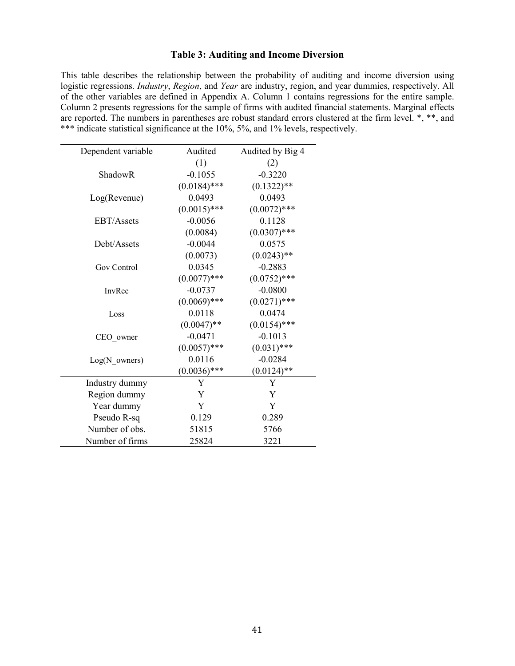# **Table 3: Auditing and Income Diversion**

This table describes the relationship between the probability of auditing and income diversion using logistic regressions. *Industry*, *Region*, and *Year* are industry, region, and year dummies, respectively. All of the other variables are defined in Appendix A. Column 1 contains regressions for the entire sample. Column 2 presents regressions for the sample of firms with audited financial statements. Marginal effects are reported. The numbers in parentheses are robust standard errors clustered at the firm level. \*, \*\*, and \*\*\* indicate statistical significance at the 10%, 5%, and 1% levels, respectively.

| Dependent variable      | Audited        | Audited by Big 4 |
|-------------------------|----------------|------------------|
|                         | (1)            | (2)              |
| ShadowR                 | $-0.1055$      | $-0.3220$        |
|                         | $(0.0184)$ *** | $(0.1322)$ **    |
| Log( Revenue)           | 0.0493         | 0.0493           |
|                         | $(0.0015)$ *** | $(0.0072)$ ***   |
| <b>EBT/Assets</b>       | $-0.0056$      | 0.1128           |
|                         | (0.0084)       | $(0.0307)$ ***   |
| Debt/Assets             | $-0.0044$      | 0.0575           |
|                         | (0.0073)       | $(0.0243)$ **    |
| Gov Control             | 0.0345         | $-0.2883$        |
|                         | $(0.0077)$ *** | $(0.0752)$ ***   |
| InvRec                  | $-0.0737$      | $-0.0800$        |
|                         | $(0.0069)$ *** | $(0.0271)$ ***   |
| Loss                    | 0.0118         | 0.0474           |
|                         | $(0.0047)$ **  | $(0.0154)$ ***   |
| CEO owner               | $-0.0471$      | $-0.1013$        |
|                         | $(0.0057)$ *** | $(0.031)$ ***    |
| $Log(N \text{ owners})$ | 0.0116         | $-0.0284$        |
|                         | $(0.0036)$ *** | $(0.0124)$ **    |
| Industry dummy          | Y              | Y                |
| Region dummy            | Y              | Y                |
| Year dummy              | Y              | Y                |
| Pseudo R-sq             | 0.129          | 0.289            |
| Number of obs.          | 51815          | 5766             |
| Number of firms         | 25824          | 3221             |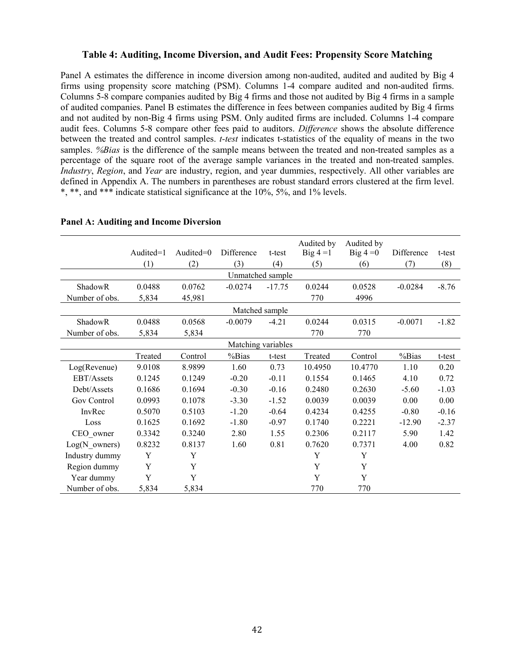#### **Table 4: Auditing, Income Diversion, and Audit Fees: Propensity Score Matching**

Panel A estimates the difference in income diversion among non-audited, audited and audited by Big 4 firms using propensity score matching (PSM). Columns 1-4 compare audited and non-audited firms. Columns 5-8 compare companies audited by Big 4 firms and those not audited by Big 4 firms in a sample of audited companies. Panel B estimates the difference in fees between companies audited by Big 4 firms and not audited by non-Big 4 firms using PSM. Only audited firms are included. Columns 1-4 compare audit fees. Columns 5-8 compare other fees paid to auditors. *Difference* shows the absolute difference between the treated and control samples. *t-test* indicates t-statistics of the equality of means in the two samples. *%Bias* is the difference of the sample means between the treated and non-treated samples as a percentage of the square root of the average sample variances in the treated and non-treated samples. *Industry*, *Region*, and *Year* are industry, region, and year dummies, respectively. All other variables are defined in Appendix A. The numbers in parentheses are robust standard errors clustered at the firm level. \*, \*\*, and \*\*\* indicate statistical significance at the 10%, 5%, and 1% levels.

|                         | Audited=1 | Audited=0 | Difference         | t-test   | Audited by<br>Big $4 = 1$ | Audited by<br>$Big 4 = 0$ | Difference | t-test  |
|-------------------------|-----------|-----------|--------------------|----------|---------------------------|---------------------------|------------|---------|
|                         | (1)       | (2)       | (3)                | (4)      | (5)                       | (6)                       | (7)        | (8)     |
|                         |           |           | Unmatched sample   |          |                           |                           |            |         |
| ShadowR                 | 0.0488    | 0.0762    | $-0.0274$          | $-17.75$ | 0.0244                    | 0.0528                    | $-0.0284$  | $-8.76$ |
| Number of obs.          | 5,834     | 45,981    |                    |          | 770                       | 4996                      |            |         |
|                         |           |           | Matched sample     |          |                           |                           |            |         |
| ShadowR                 | 0.0488    | 0.0568    | $-0.0079$          | $-4.21$  | 0.0244                    | 0.0315                    | $-0.0071$  | $-1.82$ |
| Number of obs.          | 5,834     | 5,834     |                    |          | 770                       | 770                       |            |         |
|                         |           |           | Matching variables |          |                           |                           |            |         |
|                         | Treated   | Control   | %Bias              | t-test   | Treated                   | Control                   | %Bias      | t-test  |
| Log( Revenue)           | 9.0108    | 8.9899    | 1.60               | 0.73     | 10.4950                   | 10.4770                   | 1.10       | 0.20    |
| EBT/Assets              | 0.1245    | 0.1249    | $-0.20$            | $-0.11$  | 0.1554                    | 0.1465                    | 4.10       | 0.72    |
| Debt/Assets             | 0.1686    | 0.1694    | $-0.30$            | $-0.16$  | 0.2480                    | 0.2630                    | $-5.60$    | $-1.03$ |
| Gov Control             | 0.0993    | 0.1078    | $-3.30$            | $-1.52$  | 0.0039                    | 0.0039                    | 0.00       | 0.00    |
| InvRec                  | 0.5070    | 0.5103    | $-1.20$            | $-0.64$  | 0.4234                    | 0.4255                    | $-0.80$    | $-0.16$ |
| Loss                    | 0.1625    | 0.1692    | $-1.80$            | $-0.97$  | 0.1740                    | 0.2221                    | $-12.90$   | $-2.37$ |
| CEO owner               | 0.3342    | 0.3240    | 2.80               | 1.55     | 0.2306                    | 0.2117                    | 5.90       | 1.42    |
| $Log(N \text{ owners})$ | 0.8232    | 0.8137    | 1.60               | 0.81     | 0.7620                    | 0.7371                    | 4.00       | 0.82    |
| Industry dummy          | Y         | Y         |                    |          | Y                         | Y                         |            |         |
| Region dummy            | Y         | Y         |                    |          | Y                         | Y                         |            |         |
| Year dummy              | Y         | Y         |                    |          | Y                         | Y                         |            |         |
| Number of obs.          | 5,834     | 5,834     |                    |          | 770                       | 770                       |            |         |

#### **Panel A: Auditing and Income Diversion**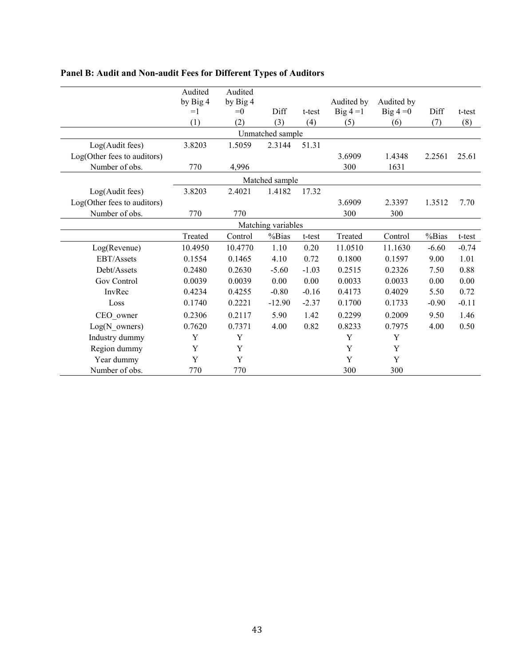|                             | Audited          | Audited          |                    |         |                           |                           |         |         |
|-----------------------------|------------------|------------------|--------------------|---------|---------------------------|---------------------------|---------|---------|
|                             | by Big 4<br>$=1$ | by Big 4<br>$=0$ | Diff               | t-test  | Audited by<br>Big $4 = 1$ | Audited by<br>$Big 4 = 0$ | Diff    | t-test  |
|                             |                  |                  |                    |         |                           |                           |         |         |
|                             | (1)              | (2)              | (3)                | (4)     | (5)                       | (6)                       | (7)     | (8)     |
|                             |                  |                  | Unmatched sample   |         |                           |                           |         |         |
| Log(Audit fees)             | 3.8203           | 1.5059           | 2.3144             | 51.31   |                           |                           |         |         |
| Log(Other fees to auditors) |                  |                  |                    |         | 3.6909                    | 1.4348                    | 2.2561  | 25.61   |
| Number of obs.              | 770              | 4,996            |                    |         | 300                       | 1631                      |         |         |
|                             |                  |                  | Matched sample     |         |                           |                           |         |         |
| Log(Audit fees)             | 3.8203           | 2.4021           | 1.4182             | 17.32   |                           |                           |         |         |
| Log(Other fees to auditors) |                  |                  |                    |         | 3.6909                    | 2.3397                    | 1.3512  | 7.70    |
| Number of obs.              | 770              | 770              |                    |         | 300                       | 300                       |         |         |
|                             |                  |                  | Matching variables |         |                           |                           |         |         |
|                             | Treated          | Control          | %Bias              | t-test  | Treated                   | Control                   | %Bias   | t-test  |
| Log(Revenue)                | 10.4950          | 10.4770          | 1.10               | 0.20    | 11.0510                   | 11.1630                   | $-6.60$ | $-0.74$ |
| EBT/Assets                  | 0.1554           | 0.1465           | 4.10               | 0.72    | 0.1800                    | 0.1597                    | 9.00    | 1.01    |
| Debt/Assets                 | 0.2480           | 0.2630           | $-5.60$            | $-1.03$ | 0.2515                    | 0.2326                    | 7.50    | 0.88    |
| Gov Control                 | 0.0039           | 0.0039           | 0.00               | 0.00    | 0.0033                    | 0.0033                    | 0.00    | 0.00    |
| InvRec                      | 0.4234           | 0.4255           | $-0.80$            | $-0.16$ | 0.4173                    | 0.4029                    | 5.50    | 0.72    |
| Loss                        | 0.1740           | 0.2221           | $-12.90$           | $-2.37$ | 0.1700                    | 0.1733                    | $-0.90$ | $-0.11$ |
| CEO_owner                   | 0.2306           | 0.2117           | 5.90               | 1.42    | 0.2299                    | 0.2009                    | 9.50    | 1.46    |
| $Log(N_owners)$             | 0.7620           | 0.7371           | 4.00               | 0.82    | 0.8233                    | 0.7975                    | 4.00    | 0.50    |
| Industry dummy              | Y                | Y                |                    |         | Y                         | Y                         |         |         |
| Region dummy                | Y                | $\mathbf Y$      |                    |         | Y                         | Y                         |         |         |
| Year dummy                  | Y                | Y                |                    |         | Y                         | Y                         |         |         |
| Number of obs.              | 770              | 770              |                    |         | 300                       | 300                       |         |         |

# **Panel B: Audit and Non-audit Fees for Different Types of Auditors**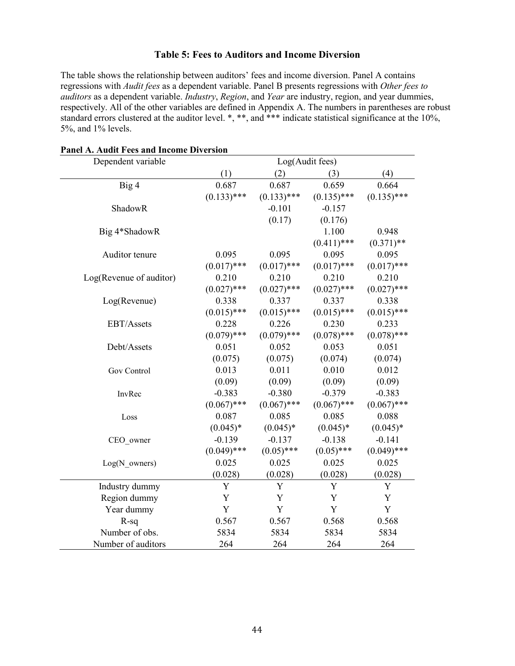# **Table 5: Fees to Auditors and Income Diversion**

The table shows the relationship between auditors' fees and income diversion. Panel A contains regressions with *Audit fees* as a dependent variable. Panel B presents regressions with *Other fees to auditors* as a dependent variable. *Industry*, *Region*, and *Year* are industry, region, and year dummies, respectively. All of the other variables are defined in Appendix A. The numbers in parentheses are robust standard errors clustered at the auditor level. \*, \*\*, and \*\*\* indicate statistical significance at the 10%, 5%, and 1% levels.

| Dependent variable      |               |               | Log(Audit fees) |               |  |  |
|-------------------------|---------------|---------------|-----------------|---------------|--|--|
|                         | (1)           | (2)           | (3)             | (4)           |  |  |
| Big 4                   | 0.687         | 0.687         | 0.659           | 0.664         |  |  |
|                         | $(0.133)$ *** | $(0.133)$ *** | $(0.135)$ ***   | $(0.135)$ *** |  |  |
| ShadowR                 |               | $-0.101$      | $-0.157$        |               |  |  |
|                         |               | (0.17)        | (0.176)         |               |  |  |
| Big 4*ShadowR           |               |               | 1.100           | 0.948         |  |  |
|                         |               |               | $(0.411)$ ***   | $(0.371)$ **  |  |  |
| Auditor tenure          | 0.095         | 0.095         | 0.095           | 0.095         |  |  |
|                         | $(0.017)$ *** | $(0.017)$ *** | $(0.017)$ ***   | $(0.017)$ *** |  |  |
| Log(Revenue of auditor) | 0.210         | 0.210         | 0.210           | 0.210         |  |  |
|                         | $(0.027)$ *** | $(0.027)$ *** | $(0.027)$ ***   | $(0.027)$ *** |  |  |
| Log(Revenue)            | 0.338         | 0.337         | 0.337           | 0.338         |  |  |
|                         | $(0.015)$ *** | $(0.015)$ *** | $(0.015)$ ***   | $(0.015)$ *** |  |  |
| EBT/Assets              | 0.228         | 0.226         | 0.230           | 0.233         |  |  |
|                         | $(0.079)$ *** | $(0.079)$ *** | $(0.078)$ ***   | $(0.078)$ *** |  |  |
| Debt/Assets             | 0.051         | 0.052         | 0.053           | 0.051         |  |  |
|                         | (0.075)       | (0.075)       | (0.074)         | (0.074)       |  |  |
| Gov Control             | 0.013         | 0.011         | 0.010           | 0.012         |  |  |
|                         | (0.09)        | (0.09)        | (0.09)          | (0.09)        |  |  |
| InvRec                  | $-0.383$      | $-0.380$      | $-0.379$        | $-0.383$      |  |  |
|                         | $(0.067)$ *** | $(0.067)$ *** | $(0.067)$ ***   | $(0.067)$ *** |  |  |
| Loss                    | 0.087         | 0.085         | 0.085           | 0.088         |  |  |
|                         | $(0.045)*$    | $(0.045)*$    | $(0.045)*$      | $(0.045)*$    |  |  |
| CEO owner               | $-0.139$      | $-0.137$      | $-0.138$        | $-0.141$      |  |  |
|                         | $(0.049)$ *** | $(0.05)$ ***  | $(0.05)$ ***    | $(0.049)$ *** |  |  |
| $Log(N \text{ owners})$ | 0.025         | 0.025         | 0.025           | 0.025         |  |  |
|                         | (0.028)       | (0.028)       | (0.028)         | (0.028)       |  |  |
| Industry dummy          | Y             | Y             | Y               | Y             |  |  |
| Region dummy            | Y             | Y             | Y               | Y             |  |  |
| Year dummy              | Y             | Y             | Y               | Y             |  |  |
| $R-sq$                  | 0.567         | 0.567         | 0.568           | 0.568         |  |  |
| Number of obs.          | 5834          | 5834          | 5834            | 5834          |  |  |
| Number of auditors      | 264           | 264           | 264             | 264           |  |  |

#### **Panel A. Audit Fees and Income Diversion**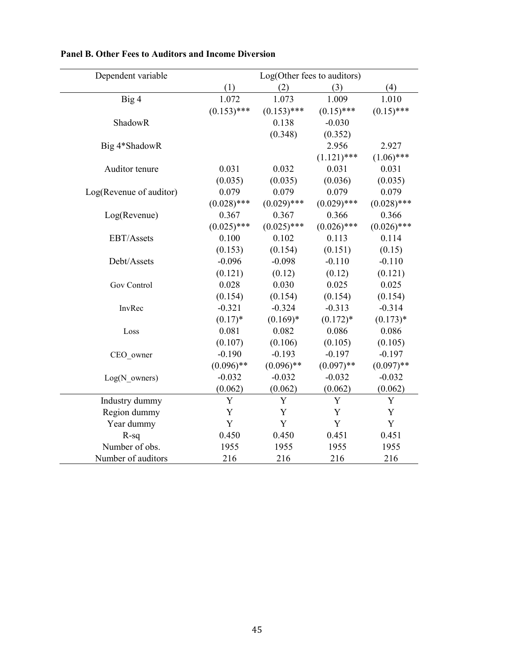| Dependent variable      | Log(Other fees to auditors) |               |               |               |  |  |
|-------------------------|-----------------------------|---------------|---------------|---------------|--|--|
|                         | (1)                         | (2)           | (3)           | (4)           |  |  |
| Big 4                   | 1.072                       | 1.073         | 1.009         | 1.010         |  |  |
|                         | $(0.153)$ ***               | $(0.153)$ *** | $(0.15)$ ***  | $(0.15)$ ***  |  |  |
| ShadowR                 |                             | 0.138         | $-0.030$      |               |  |  |
|                         |                             | (0.348)       | (0.352)       |               |  |  |
| Big 4*ShadowR           |                             |               | 2.956         | 2.927         |  |  |
|                         |                             |               | $(1.121)$ *** | $(1.06)$ ***  |  |  |
| Auditor tenure          | 0.031                       | 0.032         | 0.031         | 0.031         |  |  |
|                         | (0.035)                     | (0.035)       | (0.036)       | (0.035)       |  |  |
| Log(Revenue of auditor) | 0.079                       | 0.079         | 0.079         | 0.079         |  |  |
|                         | $(0.028)$ ***               | $(0.029)$ *** | $(0.029)$ *** | $(0.028)$ *** |  |  |
| Log(Revenue)            | 0.367                       | 0.367         | 0.366         | 0.366         |  |  |
|                         | $(0.025)$ ***               | $(0.025)$ *** | $(0.026)$ *** | $(0.026)$ *** |  |  |
| EBT/Assets              | 0.100                       | 0.102         | 0.113         | 0.114         |  |  |
|                         | (0.153)                     | (0.154)       | (0.151)       | (0.15)        |  |  |
| Debt/Assets             | $-0.096$                    | $-0.098$      | $-0.110$      | $-0.110$      |  |  |
|                         | (0.121)                     | (0.12)        | (0.12)        | (0.121)       |  |  |
| Gov Control             | 0.028                       | 0.030         | 0.025         | 0.025         |  |  |
|                         | (0.154)                     | (0.154)       | (0.154)       | (0.154)       |  |  |
| InvRec                  | $-0.321$                    | $-0.324$      | $-0.313$      | $-0.314$      |  |  |
|                         | $(0.17)^*$                  | $(0.169)*$    | $(0.172)*$    | $(0.173)*$    |  |  |
| Loss                    | 0.081                       | 0.082         | 0.086         | 0.086         |  |  |
|                         | (0.107)                     | (0.106)       | (0.105)       | (0.105)       |  |  |
| CEO_owner               | $-0.190$                    | $-0.193$      | $-0.197$      | $-0.197$      |  |  |
|                         | $(0.096)$ **                | $(0.096)$ **  | $(0.097)$ **  | $(0.097)$ **  |  |  |
| $Log(N \text{ owners})$ | $-0.032$                    | $-0.032$      | $-0.032$      | $-0.032$      |  |  |
|                         | (0.062)                     | (0.062)       | (0.062)       | (0.062)       |  |  |
| Industry dummy          | Y                           | Y             | Y             | Y             |  |  |
| Region dummy            | Y                           | Y             | Y             | Y             |  |  |
| Year dummy              | $\mathbf Y$                 | $\mathbf Y$   | Y             | Y             |  |  |
| $R-sq$                  | 0.450                       | 0.450         | 0.451         | 0.451         |  |  |
| Number of obs.          | 1955                        | 1955          | 1955          | 1955          |  |  |
| Number of auditors      | 216                         | 216           | 216           | 216           |  |  |

# **Panel B. Other Fees to Auditors and Income Diversion**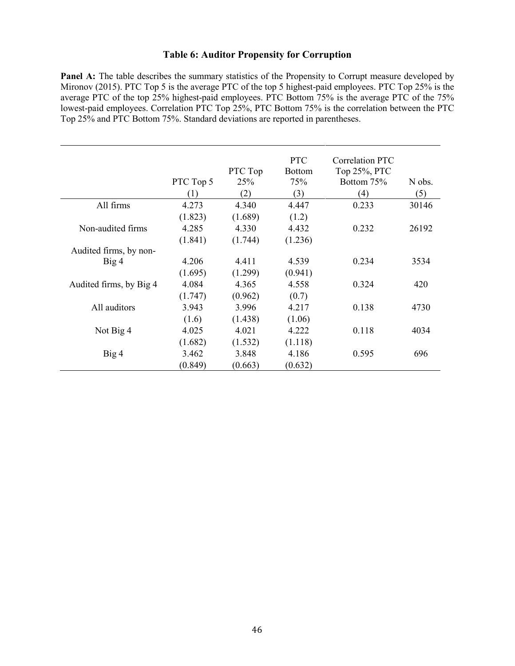# **Table 6: Auditor Propensity for Corruption**

**Panel A:** The table describes the summary statistics of the Propensity to Corrupt measure developed by Mironov (2015). PTC Top 5 is the average PTC of the top 5 highest-paid employees. PTC Top 25% is the average PTC of the top 25% highest-paid employees. PTC Bottom 75% is the average PTC of the 75% lowest-paid employees. Correlation PTC Top 25%, PTC Bottom 75% is the correlation between the PTC Top 25% and PTC Bottom 75%. Standard deviations are reported in parentheses.

|                         | PTC Top 5<br>(1) | PTC Top<br>25%<br>(2) | <b>PTC</b><br><b>Bottom</b><br>75%<br>(3) | Correlation PTC<br>Top 25%, PTC<br>Bottom 75%<br>(4) | N obs.<br>(5) |
|-------------------------|------------------|-----------------------|-------------------------------------------|------------------------------------------------------|---------------|
| All firms               | 4.273            | 4.340                 | 4.447                                     | 0.233                                                | 30146         |
|                         | (1.823)          | (1.689)               | (1.2)                                     |                                                      |               |
| Non-audited firms       | 4.285            | 4.330                 | 4.432                                     | 0.232                                                | 26192         |
|                         | (1.841)          | (1.744)               | (1.236)                                   |                                                      |               |
| Audited firms, by non-  |                  |                       |                                           |                                                      |               |
| Big 4                   | 4.206            | 4.411                 | 4.539                                     | 0.234                                                | 3534          |
|                         | (1.695)          | (1.299)               | (0.941)                                   |                                                      |               |
| Audited firms, by Big 4 | 4.084            | 4.365                 | 4.558                                     | 0.324                                                | 420           |
|                         | (1.747)          | (0.962)               | (0.7)                                     |                                                      |               |
| All auditors            | 3.943            | 3.996                 | 4.217                                     | 0.138                                                | 4730          |
|                         | (1.6)            | (1.438)               | (1.06)                                    |                                                      |               |
| Not Big 4               | 4.025            | 4.021                 | 4.222                                     | 0.118                                                | 4034          |
|                         | (1.682)          | (1.532)               | (1.118)                                   |                                                      |               |
| Big 4                   | 3.462            | 3.848                 | 4.186                                     | 0.595                                                | 696           |
|                         | (0.849)          | (0.663)               | (0.632)                                   |                                                      |               |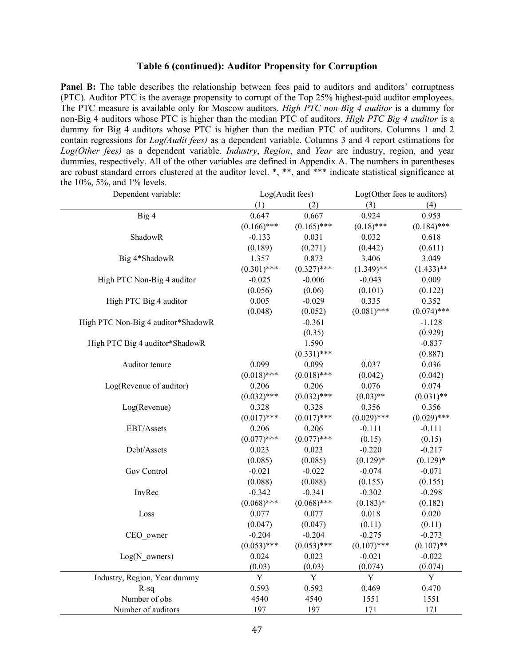#### **Table 6 (continued): Auditor Propensity for Corruption**

Panel B: The table describes the relationship between fees paid to auditors and auditors' corruptness (PTC). Auditor PTC is the average propensity to corrupt of the Top 25% highest-paid auditor employees. The PTC measure is available only for Moscow auditors. *High PTC non-Big 4 auditor* is a dummy for non-Big 4 auditors whose PTC is higher than the median PTC of auditors. *High PTC Big 4 auditor* is a dummy for Big 4 auditors whose PTC is higher than the median PTC of auditors. Columns 1 and 2 contain regressions for *Log(Audit fees)* as a dependent variable. Columns 3 and 4 report estimations for *Log(Other fees)* as a dependent variable. *Industry*, *Region*, and *Year* are industry, region, and year dummies, respectively. All of the other variables are defined in Appendix A. The numbers in parentheses are robust standard errors clustered at the auditor level. \*, \*\*, and \*\*\* indicate statistical significance at the 10%, 5%, and 1% levels.

| Dependent variable:                |               | Log(Audit fees) |               | Log(Other fees to auditors) |  |  |
|------------------------------------|---------------|-----------------|---------------|-----------------------------|--|--|
|                                    | (1)<br>(2)    |                 | (3)<br>(4)    |                             |  |  |
| Big 4                              | 0.647         | 0.667           | 0.924         | 0.953                       |  |  |
|                                    | $(0.166)$ *** | $(0.165)$ ***   | $(0.18)$ ***  | $(0.184)$ ***               |  |  |
| ShadowR                            | $-0.133$      | 0.031           | 0.032         | 0.618                       |  |  |
|                                    | (0.189)       | (0.271)         | (0.442)       | (0.611)                     |  |  |
| Big 4*ShadowR                      | 1.357         | 0.873           | 3.406         | 3.049                       |  |  |
|                                    | $(0.301)$ *** | $(0.327)$ ***   | $(1.349)$ **  | $(1.433)$ **                |  |  |
| High PTC Non-Big 4 auditor         | $-0.025$      | $-0.006$        | $-0.043$      | 0.009                       |  |  |
|                                    | (0.056)       | (0.06)          | (0.101)       | (0.122)                     |  |  |
| High PTC Big 4 auditor             | 0.005         | $-0.029$        | 0.335         | 0.352                       |  |  |
|                                    | (0.048)       | (0.052)         | $(0.081)$ *** | $(0.074)$ ***               |  |  |
| High PTC Non-Big 4 auditor*ShadowR |               | $-0.361$        |               | $-1.128$                    |  |  |
|                                    |               | (0.35)          |               | (0.929)                     |  |  |
| High PTC Big 4 auditor*ShadowR     |               | 1.590           |               | $-0.837$                    |  |  |
|                                    |               | $(0.331)$ ***   |               | (0.887)                     |  |  |
| Auditor tenure                     | 0.099         | 0.099           | 0.037         | 0.036                       |  |  |
|                                    | $(0.018)$ *** | $(0.018)$ ***   | (0.042)       | (0.042)                     |  |  |
| Log(Revenue of auditor)            | 0.206         | 0.206           | 0.076         | 0.074                       |  |  |
|                                    | $(0.032)$ *** | $(0.032)$ ***   | $(0.03)$ **   | $(0.031)$ **                |  |  |
| Log(Revenue)                       | 0.328         | 0.328           | 0.356         | 0.356                       |  |  |
|                                    | $(0.017)$ *** | $(0.017)$ ***   | $(0.029)$ *** | $(0.029)$ ***               |  |  |
| EBT/Assets                         | 0.206         | 0.206           | $-0.111$      | $-0.111$                    |  |  |
|                                    | $(0.077)$ *** | $(0.077)$ ***   | (0.15)        | (0.15)                      |  |  |
| Debt/Assets                        | 0.023         | 0.023           | $-0.220$      | $-0.217$                    |  |  |
|                                    | (0.085)       | (0.085)         | $(0.129)*$    | $(0.129)*$                  |  |  |
| <b>Gov Control</b>                 | $-0.021$      | $-0.022$        | $-0.074$      | $-0.071$                    |  |  |
|                                    | (0.088)       | (0.088)         | (0.155)       | (0.155)                     |  |  |
| InvRec                             | $-0.342$      | $-0.341$        | $-0.302$      | $-0.298$                    |  |  |
|                                    | $(0.068)$ *** | $(0.068)$ ***   | $(0.183)*$    | (0.182)                     |  |  |
| Loss                               | 0.077         | 0.077           | 0.018         | 0.020                       |  |  |
|                                    | (0.047)       | (0.047)         | (0.11)        | (0.11)                      |  |  |
| CEO owner                          | $-0.204$      | $-0.204$        | $-0.275$      | $-0.273$                    |  |  |
|                                    | $(0.053)$ *** | $(0.053)$ ***   | $(0.107)$ *** | $(0.107)$ **                |  |  |
| $Log(N \text{ owners})$            | 0.024         | 0.023           | $-0.021$      | $-0.022$                    |  |  |
|                                    | (0.03)        | (0.03)          | (0.074)       | (0.074)                     |  |  |
| Industry, Region, Year dummy       | $\mathbf Y$   | $\mathbf Y$     | $\mathbf Y$   | $\mathbf Y$                 |  |  |
| $R-sq$                             | 0.593         | 0.593           | 0.469         | 0.470                       |  |  |
| Number of obs                      | 4540          | 4540            | 1551          | 1551                        |  |  |
| Number of auditors                 | 197           | 197             | 171           | 171                         |  |  |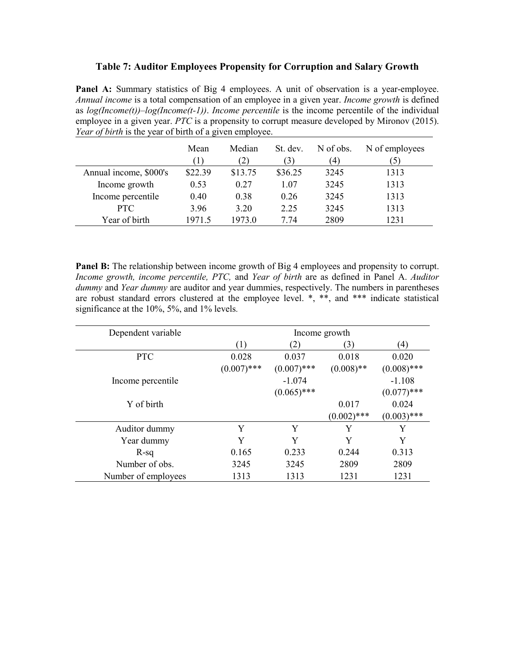# **Table 7: Auditor Employees Propensity for Corruption and Salary Growth**

Panel A: Summary statistics of Big 4 employees. A unit of observation is a year-employee. *Annual income* is a total compensation of an employee in a given year. *Income growth* is defined as *log(Income(t))–log(Income(t-1))*. *Income percentile* is the income percentile of the individual employee in a given year. *PTC* is a propensity to corrupt measure developed by Mironov (2015). *Year of birth* is the year of birth of a given employee.

|                        | Mean    | Median<br>2) | St. dev.<br>$\mathfrak{B}$ | N of obs.<br>(4) | N of employees<br>5 |
|------------------------|---------|--------------|----------------------------|------------------|---------------------|
| Annual income, \$000's | \$22.39 | \$13.75      | \$36.25                    | 3245             | 1313                |
| Income growth          | 0.53    | 0.27         | 1.07                       | 3245             | 1313                |
| Income percentile      | 0.40    | 0.38         | 0.26                       | 3245             | 1313                |
| <b>PTC</b>             | 3.96    | 3.20         | 2.25                       | 3245             | 1313                |
| Year of birth          | 1971.5  | 1973.0       | 7.74                       | 2809             | 1231                |

**Panel B:** The relationship between income growth of Big 4 employees and propensity to corrupt. *Income growth, income percentile, PTC,* and *Year of birth* are as defined in Panel A. *Auditor dummy* and *Year dummy* are auditor and year dummies, respectively. The numbers in parentheses are robust standard errors clustered at the employee level. \*, \*\*, and \*\*\* indicate statistical significance at the 10%, 5%, and 1% levels.

| Dependent variable  | Income growth |               |               |               |  |
|---------------------|---------------|---------------|---------------|---------------|--|
|                     | (1)           | (2)           | (3)           | (4)           |  |
| <b>PTC</b>          | 0.028         | 0.037         | 0.018         | 0.020         |  |
|                     | $(0.007)$ *** | $(0.007)$ *** | $(0.008)$ **  | $(0.008)$ *** |  |
| Income percentile   |               | $-1.074$      |               | $-1.108$      |  |
|                     |               | $(0.065)$ *** |               | $(0.077)$ *** |  |
| Y of birth          |               |               | 0.017         | 0.024         |  |
|                     |               |               | $(0.002)$ *** | $(0.003)$ *** |  |
| Auditor dummy       | Y             | Y             | Y             | Y             |  |
| Year dummy          | Y             | Y             | Y             | Y             |  |
| $R-sq$              | 0.165         | 0.233         | 0.244         | 0.313         |  |
| Number of obs.      | 3245          | 3245          | 2809          | 2809          |  |
| Number of employees | 1313          | 1313          | 1231          | 1231          |  |